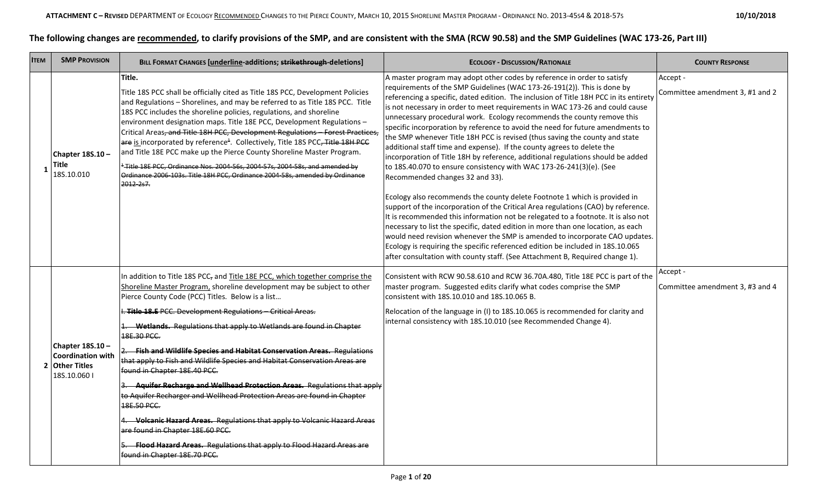## **The following changes are recommended, to clarify provisions of the SMP, and are consistent with the SMA (RCW 90.58) and the SMP Guidelines (WAC 173-26, Part III)**

| <b>ITEM</b> | <b>SMP PROVISION</b>                                                          | BILL FORMAT CHANGES [underline-additions; strikethrough-deletions]                                                                                                                                                                                                                                                                                                                                                                                                                                                                                                                                                                                                                                                                                                                                                                                                                                                                                              | <b>ECOLOGY - DISCUSSION/RATIONALE</b>                                                                                                                                                                                                                                                                                                                                                                                                                                                                                                                                                                                                                                                                                                                                                                                                                                                                                                                                                                                                                                                                                                                                                                                                                                                                                                                                                                                                     | <b>COUNTY RESPONSE</b>                      |
|-------------|-------------------------------------------------------------------------------|-----------------------------------------------------------------------------------------------------------------------------------------------------------------------------------------------------------------------------------------------------------------------------------------------------------------------------------------------------------------------------------------------------------------------------------------------------------------------------------------------------------------------------------------------------------------------------------------------------------------------------------------------------------------------------------------------------------------------------------------------------------------------------------------------------------------------------------------------------------------------------------------------------------------------------------------------------------------|-------------------------------------------------------------------------------------------------------------------------------------------------------------------------------------------------------------------------------------------------------------------------------------------------------------------------------------------------------------------------------------------------------------------------------------------------------------------------------------------------------------------------------------------------------------------------------------------------------------------------------------------------------------------------------------------------------------------------------------------------------------------------------------------------------------------------------------------------------------------------------------------------------------------------------------------------------------------------------------------------------------------------------------------------------------------------------------------------------------------------------------------------------------------------------------------------------------------------------------------------------------------------------------------------------------------------------------------------------------------------------------------------------------------------------------------|---------------------------------------------|
|             | Chapter 18S.10-<br><b>Title</b><br>185.10.010                                 | Title.<br>Title 18S PCC shall be officially cited as Title 18S PCC, Development Policies<br>and Regulations - Shorelines, and may be referred to as Title 18S PCC. Title<br>18S PCC includes the shoreline policies, regulations, and shoreline<br>environment designation maps. Title 18E PCC, Development Regulations -<br>Critical Areas, and Title 18H PCC, Development Regulations - Forest Practices,<br>are is incorporated by reference <sup>4</sup> . Collectively, Title 18S PCC <del>, Title 18H PCC</del><br>and Title 18E PCC make up the Pierce County Shoreline Master Program.<br><sup>1</sup> -Title 18E PCC, Ordinance Nos. 2004-56s, 2004-57s, 2004-58s, and amended by<br>Ordinance 2006-103s. Title 18H PCC, Ordinance 2004-58s, amended by Ordinance<br>2012 2s7.                                                                                                                                                                         | A master program may adopt other codes by reference in order to satisfy<br>requirements of the SMP Guidelines (WAC 173-26-191(2)). This is done by<br>referencing a specific, dated edition. The inclusion of Title 18H PCC in its entirety<br>is not necessary in order to meet requirements in WAC 173-26 and could cause<br>unnecessary procedural work. Ecology recommends the county remove this<br>specific incorporation by reference to avoid the need for future amendments to<br>the SMP whenever Title 18H PCC is revised (thus saving the county and state<br>additional staff time and expense). If the county agrees to delete the<br>incorporation of Title 18H by reference, additional regulations should be added<br>to 18S.40.070 to ensure consistency with WAC 173-26-241(3)(e). (See<br>Recommended changes 32 and 33).<br>Ecology also recommends the county delete Footnote 1 which is provided in<br>support of the incorporation of the Critical Area regulations (CAO) by reference.<br>It is recommended this information not be relegated to a footnote. It is also not<br>necessary to list the specific, dated edition in more than one location, as each<br>would need revision whenever the SMP is amended to incorporate CAO updates.<br>Ecology is requiring the specific referenced edition be included in 18S.10.065<br>after consultation with county staff. (See Attachment B, Required change 1). | Accept -<br>Committee amendment 3, #1 and 2 |
|             | Chapter 18S.10-<br><b>Coordination with</b><br>2 Other Titles<br>18S.10.060 l | In addition to Title 18S PCC, and Title 18E PCC, which together comprise the<br>Shoreline Master Program, shoreline development may be subject to other<br>Pierce County Code (PCC) Titles. Below is a list<br>I. Title 18.E PCC. Development Regulations - Critical Areas.<br>1. Wetlands. Regulations that apply to Wetlands are found in Chapter<br>18E.30 PCC.<br>2. Fish and Wildlife Species and Habitat Conservation Areas. Regulations<br>that apply to Fish and Wildlife Species and Habitat Conservation Areas are<br>found in Chapter 18E.40 PCC.<br>3. Aquifer Recharge and Wellhead Protection Areas. Regulations that apply<br>to Aquifer Recharger and Wellhead Protection Areas are found in Chapter<br>18E.50 PCC.<br>4. Volcanic Hazard Areas. Regulations that apply to Volcanic Hazard Areas<br>are found in Chapter 18E.60 PCC.<br>5. Flood Hazard Areas. Regulations that apply to Flood Hazard Areas are<br>found in Chapter 18E.70 PCC. | Consistent with RCW 90.58.610 and RCW 36.70A.480, Title 18E PCC is part of the<br>master program. Suggested edits clarify what codes comprise the SMP<br>consistent with 18S.10.010 and 18S.10.065 B.<br>Relocation of the language in (I) to 18S.10.065 is recommended for clarity and<br>internal consistency with 18S.10.010 (see Recommended Change 4).                                                                                                                                                                                                                                                                                                                                                                                                                                                                                                                                                                                                                                                                                                                                                                                                                                                                                                                                                                                                                                                                               | Accept -<br>Committee amendment 3, #3 and 4 |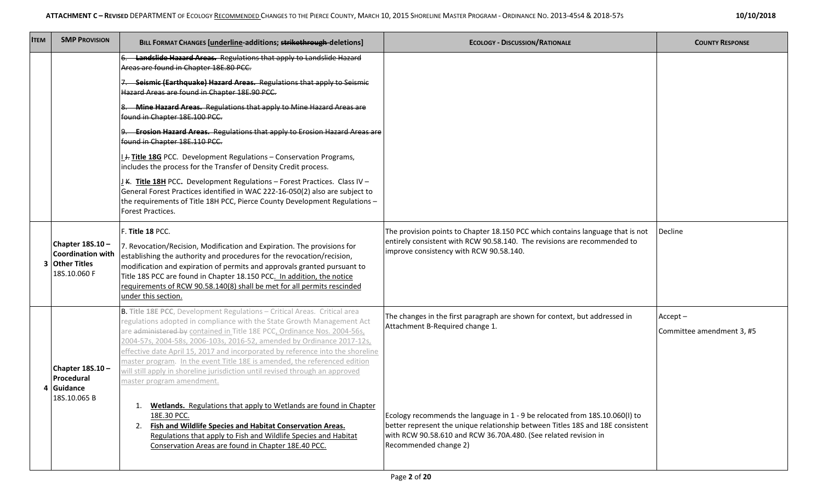| 10/10/2018 |  |
|------------|--|
|------------|--|

| <b>ITEM</b> | <b>SMP PROVISION</b>                                                   | BILL FORMAT CHANGES [underline-additions; strikethrough-deletions]                                                                                                                                                                                                                                                                                                                                                                                                                                                                                                                                                                                                                                                                                                                                                                                                                | <b>ECOLOGY - DISCUSSION/RATIONALE</b>                                                                                                                                                                                                                                                                                                                                      | <b>COUNTY RESPONSE</b>                  |
|-------------|------------------------------------------------------------------------|-----------------------------------------------------------------------------------------------------------------------------------------------------------------------------------------------------------------------------------------------------------------------------------------------------------------------------------------------------------------------------------------------------------------------------------------------------------------------------------------------------------------------------------------------------------------------------------------------------------------------------------------------------------------------------------------------------------------------------------------------------------------------------------------------------------------------------------------------------------------------------------|----------------------------------------------------------------------------------------------------------------------------------------------------------------------------------------------------------------------------------------------------------------------------------------------------------------------------------------------------------------------------|-----------------------------------------|
|             |                                                                        | Landslide Hazard Areas. Regulations that apply to Landslide Hazard<br>Areas are found in Chapter 18E.80 PCC.<br>Seismic (Earthquake) Hazard Areas. Regulations that apply to Seismic<br>Hazard Areas are found in Chapter 18E.90 PCC.<br>8. Mine Hazard Areas. Regulations that apply to Mine Hazard Areas are<br>found in Chapter 18E.100 PCC.<br><b>Erosion Hazard Areas.</b> Regulations that apply to Erosion Hazard Areas are<br>found in Chapter 18E.110 PCC.<br>I. +. Title 18G PCC. Development Regulations - Conservation Programs,<br>includes the process for the Transfer of Density Credit process.<br>J.K. Title 18H PCC. Development Regulations - Forest Practices. Class IV -<br>General Forest Practices identified in WAC 222-16-050(2) also are subject to<br>the requirements of Title 18H PCC, Pierce County Development Regulations -<br>Forest Practices. |                                                                                                                                                                                                                                                                                                                                                                            |                                         |
|             | Chapter 18S.10-<br>Coordination with<br>3 Other Titles<br>18S.10.060 F | F. Title 18 PCC.<br>7. Revocation/Recision, Modification and Expiration. The provisions for<br>establishing the authority and procedures for the revocation/recision,<br>modification and expiration of permits and approvals granted pursuant to<br>Title 18S PCC are found in Chapter 18.150 PCC. In addition, the notice<br>requirements of RCW 90.58.140(8) shall be met for all permits rescinded<br>under this section.                                                                                                                                                                                                                                                                                                                                                                                                                                                     | The provision points to Chapter 18.150 PCC which contains language that is not<br>entirely consistent with RCW 90.58.140. The revisions are recommended to<br>improve consistency with RCW 90.58.140.                                                                                                                                                                      | Decline                                 |
|             | Chapter 18S.10-<br>Procedural<br>4 Guidance<br>18S.10.065 B            | B. Title 18E PCC, Development Regulations - Critical Areas. Critical area<br>regulations adopted in compliance with the State Growth Management Act<br>are administered by contained in Title 18E PCC, Ordinance Nos. 2004-56s,<br>2004-57s, 2004-58s, 2006-103s, 2016-52, amended by Ordinance 2017-12s,<br>effective date April 15, 2017 and incorporated by reference into the shoreline<br>master program. In the event Title 18E is amended, the referenced edition<br>will still apply in shoreline jurisdiction until revised through an approved<br>master program amendment.<br>Wetlands. Regulations that apply to Wetlands are found in Chapter<br>18E.30 PCC.<br>2. Fish and Wildlife Species and Habitat Conservation Areas.<br>Regulations that apply to Fish and Wildlife Species and Habitat<br>Conservation Areas are found in Chapter 18E.40 PCC.               | The changes in the first paragraph are shown for context, but addressed in<br>Attachment B-Required change 1.<br>Ecology recommends the language in 1 - 9 be relocated from 18S.10.060(I) to<br>better represent the unique relationship between Titles 18S and 18E consistent<br>with RCW 90.58.610 and RCW 36.70A.480. (See related revision in<br>Recommended change 2) | $Accept -$<br>Committee amendment 3, #5 |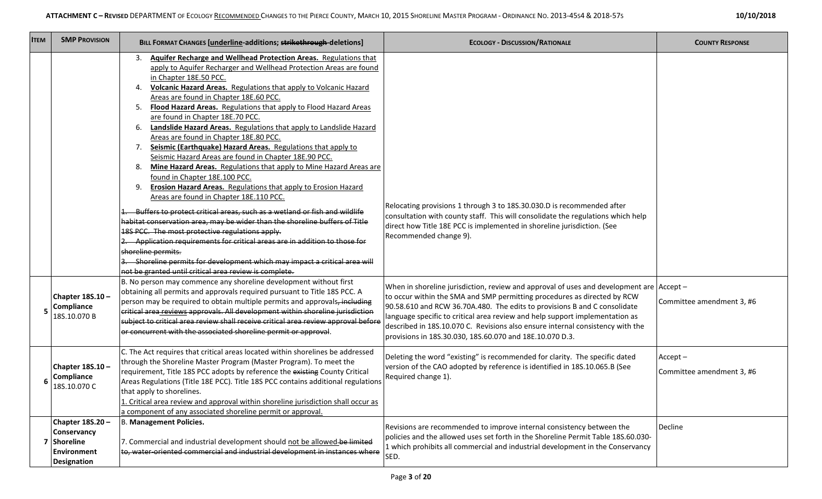| 10/10/2018 |  |
|------------|--|
|------------|--|

| <b>ITEM</b> | <b>SMP PROVISION</b>                                                              | BILL FORMAT CHANGES [underline-additions; strikethrough-deletions]                                                                                                                                                                                                                                                                                                                                                                                                                                                                                                                                                                                                                                                                                                                                                                                                                                                                                                                                                                                                                                                                                                                                                                                                                                                                                                      | <b>ECOLOGY - DISCUSSION/RATIONALE</b>                                                                                                                                                                                                                                                                                                                                                                                                                                           | <b>COUNTY RESPONSE</b>                  |
|-------------|-----------------------------------------------------------------------------------|-------------------------------------------------------------------------------------------------------------------------------------------------------------------------------------------------------------------------------------------------------------------------------------------------------------------------------------------------------------------------------------------------------------------------------------------------------------------------------------------------------------------------------------------------------------------------------------------------------------------------------------------------------------------------------------------------------------------------------------------------------------------------------------------------------------------------------------------------------------------------------------------------------------------------------------------------------------------------------------------------------------------------------------------------------------------------------------------------------------------------------------------------------------------------------------------------------------------------------------------------------------------------------------------------------------------------------------------------------------------------|---------------------------------------------------------------------------------------------------------------------------------------------------------------------------------------------------------------------------------------------------------------------------------------------------------------------------------------------------------------------------------------------------------------------------------------------------------------------------------|-----------------------------------------|
|             |                                                                                   | <b>Aquifer Recharge and Wellhead Protection Areas. Regulations that</b><br>3.<br>apply to Aquifer Recharger and Wellhead Protection Areas are found<br>in Chapter 18E.50 PCC.<br><b>Volcanic Hazard Areas.</b> Regulations that apply to Volcanic Hazard<br>4.<br>Areas are found in Chapter 18E.60 PCC.<br>Flood Hazard Areas. Regulations that apply to Flood Hazard Areas<br>5.<br>are found in Chapter 18E.70 PCC.<br>Landslide Hazard Areas. Regulations that apply to Landslide Hazard<br>6.<br>Areas are found in Chapter 18E.80 PCC.<br>Seismic (Earthquake) Hazard Areas. Regulations that apply to<br>7.<br>Seismic Hazard Areas are found in Chapter 18E.90 PCC.<br>Mine Hazard Areas. Regulations that apply to Mine Hazard Areas are<br>8.<br>found in Chapter 18E.100 PCC.<br>Erosion Hazard Areas. Regulations that apply to Erosion Hazard<br>9.<br>Areas are found in Chapter 18E.110 PCC.<br>Buffers to protect critical areas, such as a wetland or fish and wildlife<br>habitat conservation area, may be wider than the shoreline buffers of Title<br>18S PCC. The most protective regulations apply.<br>2. Application requirements for critical areas are in addition to those for<br>shoreline permits.<br>3. Shoreline permits for development which may impact a critical area will<br>not be granted until critical area review is complete. | Relocating provisions 1 through 3 to 18S.30.030.D is recommended after<br>consultation with county staff. This will consolidate the regulations which help<br>direct how Title 18E PCC is implemented in shoreline jurisdiction. (See<br>Recommended change 9).                                                                                                                                                                                                                 |                                         |
|             | Chapter 18S.10-<br><b>Compliance</b><br>18S.10.070 B                              | B. No person may commence any shoreline development without first<br>obtaining all permits and approvals required pursuant to Title 18S PCC. A<br>person may be required to obtain multiple permits and approvals <del>, including</del><br>critical area reviews approvals. All development within shoreline jurisdiction<br>subject to critical area review shall receive critical area review approval before<br>or concurrent with the associated shoreline permit or approval.                                                                                                                                                                                                                                                                                                                                                                                                                                                                                                                                                                                                                                                                                                                                                                                                                                                                                     | When in shoreline jurisdiction, review and approval of uses and development are Accept -<br>to occur within the SMA and SMP permitting procedures as directed by RCW<br>90.58.610 and RCW 36.70A.480. The edits to provisions B and C consolidate<br>language specific to critical area review and help support implementation as<br>described in 18S.10.070 C. Revisions also ensure internal consistency with the<br>provisions in 18S.30.030, 18S.60.070 and 18E.10.070 D.3. | Committee amendment 3, #6               |
|             | Chapter 18S.10-<br>Compliance<br>18S.10.070 C                                     | C. The Act requires that critical areas located within shorelines be addressed<br>through the Shoreline Master Program (Master Program). To meet the<br>requirement, Title 18S PCC adopts by reference the existing County Critical<br>Areas Regulations (Title 18E PCC). Title 18S PCC contains additional regulations<br>that apply to shorelines.<br>. Critical area review and approval within shoreline jurisdiction shall occur as<br>a component of any associated shoreline permit or approval.                                                                                                                                                                                                                                                                                                                                                                                                                                                                                                                                                                                                                                                                                                                                                                                                                                                                 | Deleting the word "existing" is recommended for clarity. The specific dated<br>version of the CAO adopted by reference is identified in 18S.10.065.B (See<br>Required change 1).                                                                                                                                                                                                                                                                                                | $Accept -$<br>Committee amendment 3, #6 |
|             | Chapter 18S.20 -<br>Conservancy<br>Shoreline<br>Environment<br><b>Designation</b> | B. Management Policies.<br>7. Commercial and industrial development should not be allowed-be limited<br>to, water-oriented commercial and industrial development in instances where                                                                                                                                                                                                                                                                                                                                                                                                                                                                                                                                                                                                                                                                                                                                                                                                                                                                                                                                                                                                                                                                                                                                                                                     | Revisions are recommended to improve internal consistency between the<br>policies and the allowed uses set forth in the Shoreline Permit Table 18S.60.030-<br>1 which prohibits all commercial and industrial development in the Conservancy<br>SED.                                                                                                                                                                                                                            | Decline                                 |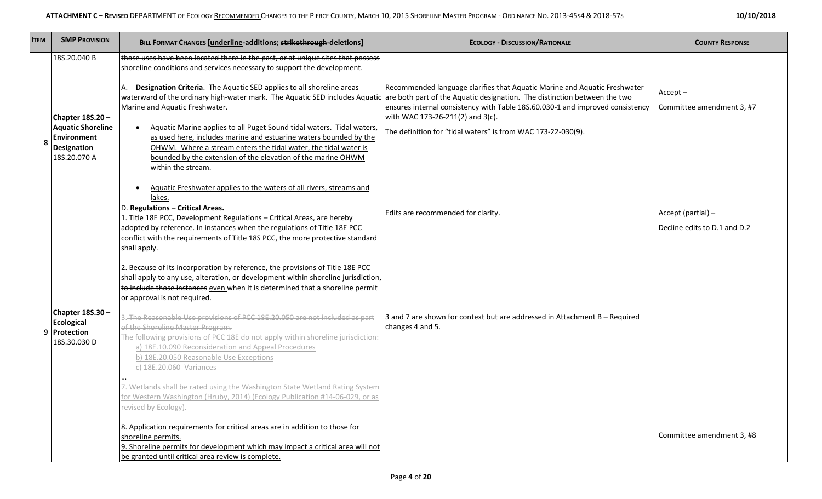| 10/10/2018 |  |
|------------|--|
|------------|--|

| <b>ITEM</b> | <b>SMP PROVISION</b>                                                                      | BILL FORMAT CHANGES [underline-additions; strikethrough-deletions]                                                                                                                                                                                                                                                                                                                                                                                                                                                                                                                                                                                                                                                                                                                                                                                                                                                                                                                                                                                                                                                                                                                     | <b>ECOLOGY - DISCUSSION/RATIONALE</b>                                                                                                                                                                                                                          | <b>COUNTY RESPONSE</b>                             |
|-------------|-------------------------------------------------------------------------------------------|----------------------------------------------------------------------------------------------------------------------------------------------------------------------------------------------------------------------------------------------------------------------------------------------------------------------------------------------------------------------------------------------------------------------------------------------------------------------------------------------------------------------------------------------------------------------------------------------------------------------------------------------------------------------------------------------------------------------------------------------------------------------------------------------------------------------------------------------------------------------------------------------------------------------------------------------------------------------------------------------------------------------------------------------------------------------------------------------------------------------------------------------------------------------------------------|----------------------------------------------------------------------------------------------------------------------------------------------------------------------------------------------------------------------------------------------------------------|----------------------------------------------------|
|             | 18S.20.040 B                                                                              | those uses have been located there in the past, or at unique sites that possess<br>shoreline conditions and services necessary to support the development.                                                                                                                                                                                                                                                                                                                                                                                                                                                                                                                                                                                                                                                                                                                                                                                                                                                                                                                                                                                                                             |                                                                                                                                                                                                                                                                |                                                    |
|             | Chapter 18S.20-<br><b>Aquatic Shoreline</b><br>Environment<br>Designation<br>18S.20.070 A | Designation Criteria. The Aquatic SED applies to all shoreline areas<br>waterward of the ordinary high-water mark. The Aquatic SED includes Aquatic are both part of the Aquatic designation. The distinction between the two<br>Marine and Aquatic Freshwater.<br>Aquatic Marine applies to all Puget Sound tidal waters. Tidal waters<br>$\bullet$<br>as used here, includes marine and estuarine waters bounded by the<br>OHWM. Where a stream enters the tidal water, the tidal water is<br>bounded by the extension of the elevation of the marine OHWM<br>within the stream.<br>Aquatic Freshwater applies to the waters of all rivers, streams and<br>lakes.                                                                                                                                                                                                                                                                                                                                                                                                                                                                                                                    | Recommended language clarifies that Aquatic Marine and Aquatic Freshwater<br>ensures internal consistency with Table 18S.60.030-1 and improved consistency<br>with WAC 173-26-211(2) and 3(c).<br>The definition for "tidal waters" is from WAC 173-22-030(9). | $Accept -$<br>Committee amendment 3, #7            |
|             | Chapter 18S.30 -<br>Ecological<br>9 Protection<br>18S.30.030 D                            | D. Regulations - Critical Areas.<br>1. Title 18E PCC, Development Regulations - Critical Areas, are-hereby<br>adopted by reference. In instances when the regulations of Title 18E PCC<br>conflict with the requirements of Title 18S PCC, the more protective standard<br>shall apply.<br>2. Because of its incorporation by reference, the provisions of Title 18E PCC<br>shall apply to any use, alteration, or development within shoreline jurisdiction,<br>to include those instances even when it is determined that a shoreline permit<br>or approval is not required.<br>3. The Reasonable Use provisions of PCC 18E.20.050 are not included as part<br>of the Shoreline Master Program.<br>The following provisions of PCC 18E do not apply within shoreline jurisdiction:<br>a) 18E.10.090 Reconsideration and Appeal Procedures<br>b) 18E.20.050 Reasonable Use Exceptions<br>c) 18E.20.060 Variances<br>7. Wetlands shall be rated using the Washington State Wetland Rating System<br>For Western Washington (Hruby, 2014) (Ecology Publication #14-06-029, or as<br>revised by Ecology).<br>8. Application requirements for critical areas are in addition to those for | Edits are recommended for clarity.<br>3 and 7 are shown for context but are addressed in Attachment B - Required<br>changes 4 and 5.                                                                                                                           | Accept (partial) -<br>Decline edits to D.1 and D.2 |
|             |                                                                                           | shoreline permits.<br>9. Shoreline permits for development which may impact a critical area will not<br>be granted until critical area review is complete.                                                                                                                                                                                                                                                                                                                                                                                                                                                                                                                                                                                                                                                                                                                                                                                                                                                                                                                                                                                                                             |                                                                                                                                                                                                                                                                | Committee amendment 3, #8                          |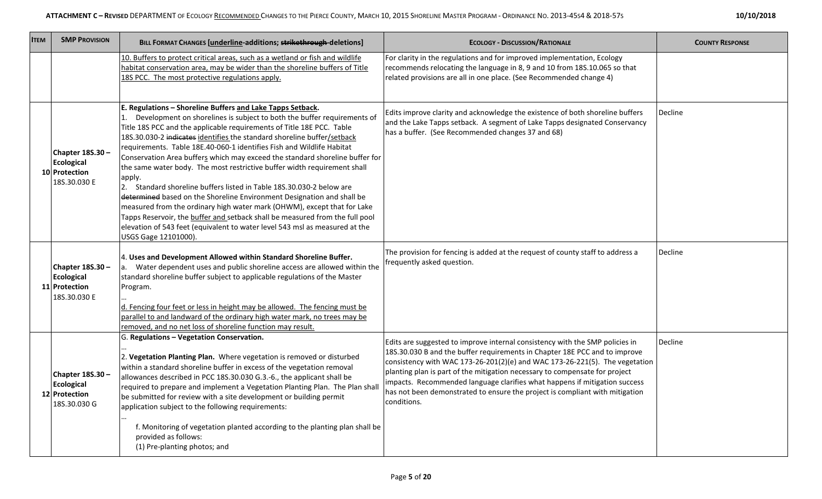| <b>SMP PROVISION</b><br><b>ITEM</b>                                    | BILL FORMAT CHANGES [underline-additions; strikethrough-deletions]                                                                                                                                                                                                                                                                                                                                                                                                                                                                                                                                                                                                                                                                                                                                                                                                                                                                                              | <b>ECOLOGY - DISCUSSION/RATIONALE</b>                                                                                                                                                                                                                                                                                                                                                                                                                                                                 | <b>COUNTY RESPONSE</b> |
|------------------------------------------------------------------------|-----------------------------------------------------------------------------------------------------------------------------------------------------------------------------------------------------------------------------------------------------------------------------------------------------------------------------------------------------------------------------------------------------------------------------------------------------------------------------------------------------------------------------------------------------------------------------------------------------------------------------------------------------------------------------------------------------------------------------------------------------------------------------------------------------------------------------------------------------------------------------------------------------------------------------------------------------------------|-------------------------------------------------------------------------------------------------------------------------------------------------------------------------------------------------------------------------------------------------------------------------------------------------------------------------------------------------------------------------------------------------------------------------------------------------------------------------------------------------------|------------------------|
|                                                                        | 10. Buffers to protect critical areas, such as a wetland or fish and wildlife<br>habitat conservation area, may be wider than the shoreline buffers of Title<br>18S PCC. The most protective regulations apply.                                                                                                                                                                                                                                                                                                                                                                                                                                                                                                                                                                                                                                                                                                                                                 | For clarity in the regulations and for improved implementation, Ecology<br>recommends relocating the language in 8, 9 and 10 from 18S.10.065 so that<br>related provisions are all in one place. (See Recommended change 4)                                                                                                                                                                                                                                                                           |                        |
| Chapter 18S.30-<br><b>Ecological</b><br>10 Protection<br>18S.30.030 E  | E. Regulations - Shoreline Buffers and Lake Tapps Setback.<br>1. Development on shorelines is subject to both the buffer requirements of<br>Title 18S PCC and the applicable requirements of Title 18E PCC. Table<br>18S.30.030-2 indicates identifies the standard shoreline buffer/setback<br>requirements. Table 18E.40-060-1 identifies Fish and Wildlife Habitat<br>Conservation Area buffers which may exceed the standard shoreline buffer for<br>the same water body. The most restrictive buffer width requirement shall<br>apply.<br>2. Standard shoreline buffers listed in Table 18S.30.030-2 below are<br>determined based on the Shoreline Environment Designation and shall be<br>measured from the ordinary high water mark (OHWM), except that for Lake<br>Tapps Reservoir, the buffer and setback shall be measured from the full pool<br>elevation of 543 feet (equivalent to water level 543 msl as measured at the<br>USGS Gage 12101000). | Edits improve clarity and acknowledge the existence of both shoreline buffers<br>and the Lake Tapps setback. A segment of Lake Tapps designated Conservancy<br>has a buffer. (See Recommended changes 37 and 68)                                                                                                                                                                                                                                                                                      | Decline                |
| Chapter 18S.30 -<br><b>Ecological</b><br>11 Protection<br>18S.30.030 E | 4. Uses and Development Allowed within Standard Shoreline Buffer.<br>Water dependent uses and public shoreline access are allowed within the<br>а.<br>standard shoreline buffer subject to applicable regulations of the Master<br>Program.<br>d. Fencing four feet or less in height may be allowed. The fencing must be<br>parallel to and landward of the ordinary high water mark, no trees may be<br>removed, and no net loss of shoreline function may result.                                                                                                                                                                                                                                                                                                                                                                                                                                                                                            | The provision for fencing is added at the request of county staff to address a<br>frequently asked question.                                                                                                                                                                                                                                                                                                                                                                                          | Decline                |
| Chapter 18S.30 -<br><b>Ecological</b><br>12 Protection<br>18S.30.030 G | G. Regulations - Vegetation Conservation.<br>2. Vegetation Planting Plan. Where vegetation is removed or disturbed<br>within a standard shoreline buffer in excess of the vegetation removal<br>allowances described in PCC 18S.30.030 G.3.-6., the applicant shall be<br>required to prepare and implement a Vegetation Planting Plan. The Plan sha<br>be submitted for review with a site development or building permit<br>application subject to the following requirements:<br>f. Monitoring of vegetation planted according to the planting plan shall be<br>provided as follows:<br>(1) Pre-planting photos; and                                                                                                                                                                                                                                                                                                                                         | Edits are suggested to improve internal consistency with the SMP policies in<br>18S.30.030 B and the buffer requirements in Chapter 18E PCC and to improve<br>consistency with WAC 173-26-201(2)(e) and WAC 173-26-221(5). The vegetation<br>planting plan is part of the mitigation necessary to compensate for project<br>impacts. Recommended language clarifies what happens if mitigation success<br>has not been demonstrated to ensure the project is compliant with mitigation<br>conditions. | Decline                |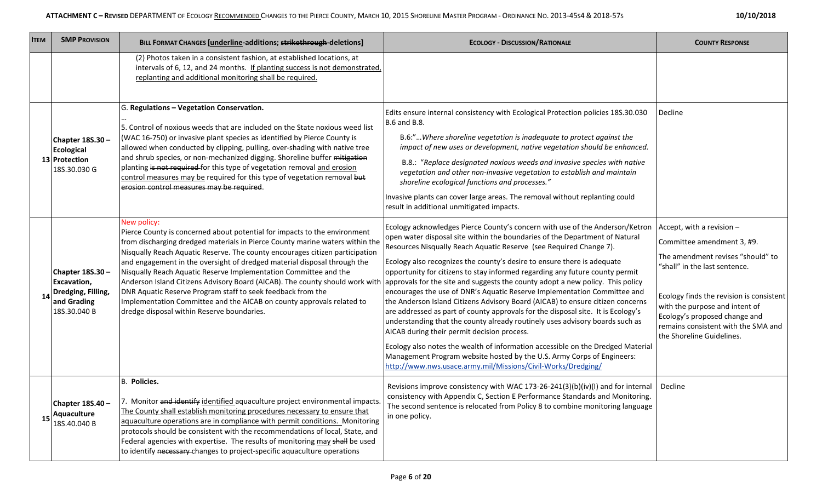| <b>ITEM</b> | <b>SMP PROVISION</b>                                                                        | <b>BILL FORMAT CHANGES [underline-additions; strikethrough-deletions]</b>                                                                                                                                                                                                                                                                                                                                                                                                                                                                                                                                                                                                                                                                                     | <b>ECOLOGY - DISCUSSION/RATIONALE</b>                                                                                                                                                                                                                                                                                                                                                                                                                                                                                                                                                                                                                                                                                                                                                                                                                                                                                                                                                                      | <b>COUNTY RESPONSE</b>                                                                                                                                                                                                                                                                                             |
|-------------|---------------------------------------------------------------------------------------------|---------------------------------------------------------------------------------------------------------------------------------------------------------------------------------------------------------------------------------------------------------------------------------------------------------------------------------------------------------------------------------------------------------------------------------------------------------------------------------------------------------------------------------------------------------------------------------------------------------------------------------------------------------------------------------------------------------------------------------------------------------------|------------------------------------------------------------------------------------------------------------------------------------------------------------------------------------------------------------------------------------------------------------------------------------------------------------------------------------------------------------------------------------------------------------------------------------------------------------------------------------------------------------------------------------------------------------------------------------------------------------------------------------------------------------------------------------------------------------------------------------------------------------------------------------------------------------------------------------------------------------------------------------------------------------------------------------------------------------------------------------------------------------|--------------------------------------------------------------------------------------------------------------------------------------------------------------------------------------------------------------------------------------------------------------------------------------------------------------------|
|             |                                                                                             | (2) Photos taken in a consistent fashion, at established locations, at<br>intervals of 6, 12, and 24 months. If planting success is not demonstrated,<br>replanting and additional monitoring shall be required.                                                                                                                                                                                                                                                                                                                                                                                                                                                                                                                                              |                                                                                                                                                                                                                                                                                                                                                                                                                                                                                                                                                                                                                                                                                                                                                                                                                                                                                                                                                                                                            |                                                                                                                                                                                                                                                                                                                    |
|             | Chapter 18S.30 -<br><b>Ecological</b><br>13 Protection<br>18S.30.030 G                      | G. Regulations - Vegetation Conservation.<br>5. Control of noxious weeds that are included on the State noxious weed list<br>(WAC 16-750) or invasive plant species as identified by Pierce County is<br>allowed when conducted by clipping, pulling, over-shading with native tree<br>and shrub species, or non-mechanized digging. Shoreline buffer mitigation<br>planting is not required for this type of vegetation removal and erosion<br>control measures may be required for this type of vegetation removal but<br>erosion control measures may be required.                                                                                                                                                                                         | Edits ensure internal consistency with Ecological Protection policies 18S.30.030<br><b>B.6 and B.8.</b><br>B.6:"Where shoreline vegetation is inadequate to protect against the<br>impact of new uses or development, native vegetation should be enhanced.<br>B.8.: "Replace designated noxious weeds and invasive species with native<br>vegetation and other non-invasive vegetation to establish and maintain<br>shoreline ecological functions and processes."<br>Invasive plants can cover large areas. The removal without replanting could<br>result in additional unmitigated impacts.                                                                                                                                                                                                                                                                                                                                                                                                            | Decline                                                                                                                                                                                                                                                                                                            |
|             | Chapter 18S.30 -<br><b>Excavation,</b><br>Dredging, Filling,<br>and Grading<br>18S.30.040 B | New policy:<br>Pierce County is concerned about potential for impacts to the environment<br>from discharging dredged materials in Pierce County marine waters within the<br>Nisqually Reach Aquatic Reserve. The county encourages citizen participation<br>and engagement in the oversight of dredged material disposal through the<br>Nisqually Reach Aquatic Reserve Implementation Committee and the<br>Anderson Island Citizens Advisory Board (AICAB). The county should work with approvals for the site and suggests the county adopt a new policy. This policy<br>DNR Aquatic Reserve Program staff to seek feedback from the<br>Implementation Committee and the AICAB on county approvals related to<br>dredge disposal within Reserve boundaries. | Ecology acknowledges Pierce County's concern with use of the Anderson/Ketron<br>open water disposal site within the boundaries of the Department of Natural<br>Resources Nisqually Reach Aquatic Reserve (see Required Change 7).<br>Ecology also recognizes the county's desire to ensure there is adequate<br>opportunity for citizens to stay informed regarding any future county permit<br>encourages the use of DNR's Aquatic Reserve Implementation Committee and<br>the Anderson Island Citizens Advisory Board (AICAB) to ensure citizen concerns<br>are addressed as part of county approvals for the disposal site. It is Ecology's<br>understanding that the county already routinely uses advisory boards such as<br>AICAB during their permit decision process.<br>Ecology also notes the wealth of information accessible on the Dredged Material<br>Management Program website hosted by the U.S. Army Corps of Engineers:<br>http://www.nws.usace.army.mil/Missions/Civil-Works/Dredging/ | Accept, with a revision $-$<br>Committee amendment 3, #9.<br>The amendment revises "should" to<br>"shall" in the last sentence.<br>Ecology finds the revision is consistent<br>with the purpose and intent of<br>Ecology's proposed change and<br>remains consistent with the SMA and<br>the Shoreline Guidelines. |
| 15          | Chapter 18S.40 -<br>Aquaculture<br>18S.40.040 B                                             | B. Policies.<br>7. Monitor and identify identified aquaculture project environmental impacts.<br>The County shall establish monitoring procedures necessary to ensure that<br>aquaculture operations are in compliance with permit conditions. Monitoring<br>protocols should be consistent with the recommendations of local, State, and<br>Federal agencies with expertise. The results of monitoring may shall be used<br>to identify necessary changes to project-specific aquaculture operations                                                                                                                                                                                                                                                         | Revisions improve consistency with WAC 173-26-241(3)(b)(iv)(I) and for internal<br>consistency with Appendix C, Section E Performance Standards and Monitoring.<br>The second sentence is relocated from Policy 8 to combine monitoring language<br>in one policy.                                                                                                                                                                                                                                                                                                                                                                                                                                                                                                                                                                                                                                                                                                                                         | Decline                                                                                                                                                                                                                                                                                                            |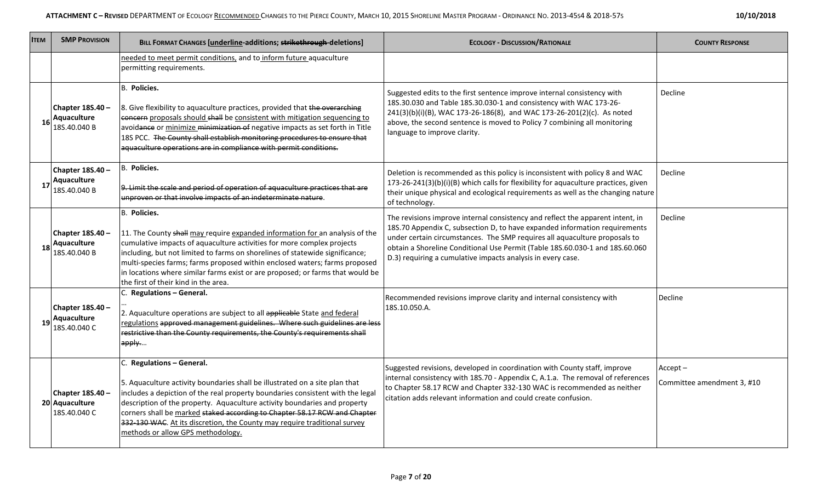| <b>ITEM</b> | <b>SMP PROVISION</b>                               | <b>BILL FORMAT CHANGES [underline-additions; strikethrough-deletions]</b>                                                                                                                                                                                                                                                                                                                                                                                              | <b>ECOLOGY - DISCUSSION/RATIONALE</b>                                                                                                                                                                                                                                                                                                                                                     | <b>COUNTY RESPONSE</b>                   |
|-------------|----------------------------------------------------|------------------------------------------------------------------------------------------------------------------------------------------------------------------------------------------------------------------------------------------------------------------------------------------------------------------------------------------------------------------------------------------------------------------------------------------------------------------------|-------------------------------------------------------------------------------------------------------------------------------------------------------------------------------------------------------------------------------------------------------------------------------------------------------------------------------------------------------------------------------------------|------------------------------------------|
|             |                                                    | needed to meet permit conditions, and to inform future aquaculture<br>permitting requirements.                                                                                                                                                                                                                                                                                                                                                                         |                                                                                                                                                                                                                                                                                                                                                                                           |                                          |
| 16          | Chapter 18S.40 -<br>Aquaculture<br>18S.40.040 B    | <b>B.</b> Policies.<br>8. Give flexibility to aquaculture practices, provided that the overarching<br>concern proposals should shall be consistent with mitigation sequencing to<br>avoidance or minimize minimization of negative impacts as set forth in Title<br>18S PCC. The County shall establish monitoring procedures to ensure that<br>aquaculture operations are in compliance with permit conditions.                                                       | Suggested edits to the first sentence improve internal consistency with<br>18S.30.030 and Table 18S.30.030-1 and consistency with WAC 173-26-<br>241(3)(b)(i)(B), WAC 173-26-186(8), and WAC 173-26-201(2)(c). As noted<br>above, the second sentence is moved to Policy 7 combining all monitoring<br>language to improve clarity.                                                       | Decline                                  |
| 17          | Chapter 18S.40 -<br>Aquaculture<br>18S.40.040 B    | B. Policies.<br>9. Limit the scale and period of operation of aquaculture practices that are<br>unproven or that involve impacts of an indeterminate nature.                                                                                                                                                                                                                                                                                                           | Deletion is recommended as this policy is inconsistent with policy 8 and WAC<br>173-26-241(3)(b)(i)(B) which calls for flexibility for aquaculture practices, given<br>their unique physical and ecological requirements as well as the changing nature<br>of technology.                                                                                                                 | Decline                                  |
| 18          | Chapter 18S.40 -<br>Aquaculture<br>18S.40.040 B    | B. Policies.<br>11. The County shall may require expanded information for an analysis of the<br>cumulative impacts of aquaculture activities for more complex projects<br>including, but not limited to farms on shorelines of statewide significance;<br>multi-species farms; farms proposed within enclosed waters; farms proposed<br>in locations where similar farms exist or are proposed; or farms that would be<br>the first of their kind in the area.         | The revisions improve internal consistency and reflect the apparent intent, in<br>18S.70 Appendix C, subsection D, to have expanded information requirements<br>under certain circumstances. The SMP requires all aquaculture proposals to<br>obtain a Shoreline Conditional Use Permit (Table 18S.60.030-1 and 18S.60.060<br>D.3) requiring a cumulative impacts analysis in every case. | <b>Decline</b>                           |
| 19          | Chapter 18S.40 -<br>Aquaculture<br>18S.40.040 C    | C. Regulations - General.<br>2. Aquaculture operations are subject to all applicable State and federal<br>regulations approved management guidelines. Where such guidelines are less<br>restrictive than the County requirements, the County's requirements shall<br>apply                                                                                                                                                                                             | Recommended revisions improve clarity and internal consistency with<br>18S.10.050.A.                                                                                                                                                                                                                                                                                                      | Decline                                  |
|             | Chapter 18S.40 -<br>20 Aquaculture<br>18S.40.040 C | C. Regulations - General.<br>5. Aquaculture activity boundaries shall be illustrated on a site plan that<br>includes a depiction of the real property boundaries consistent with the legal<br>description of the property. Aquaculture activity boundaries and property<br>corners shall be marked staked according to Chapter 58.17 RCW and Chapter<br>332-130 WAC. At its discretion, the County may require traditional survey<br>methods or allow GPS methodology. | Suggested revisions, developed in coordination with County staff, improve<br>internal consistency with 18S.70 - Appendix C, A.1.a. The removal of references<br>to Chapter 58.17 RCW and Chapter 332-130 WAC is recommended as neither<br>citation adds relevant information and could create confusion.                                                                                  | $Accept -$<br>Committee amendment 3, #10 |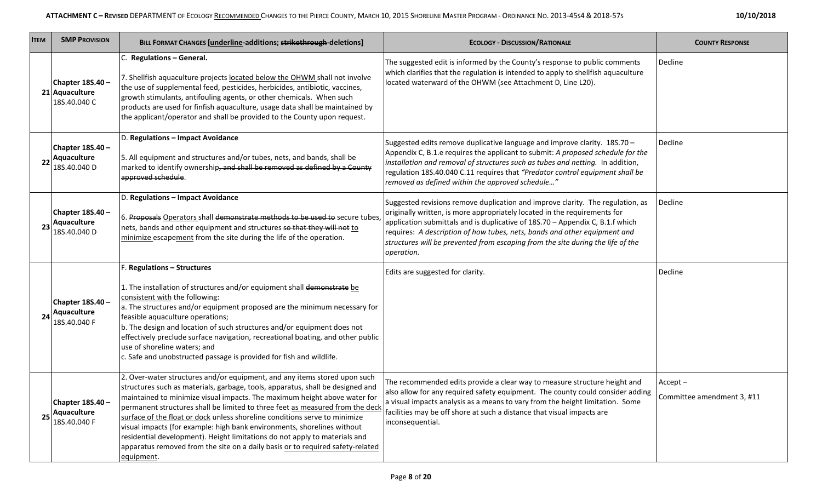| 10/10/2018 |  |
|------------|--|
|------------|--|

| <b>ITEM</b> | <b>SMP PROVISION</b>                               | BILL FORMAT CHANGES [underline-additions; strikethrough-deletions]                                                                                                                                                                                                                                                                                                                                                                                                                                                                                                                                                                                               | <b>ECOLOGY - DISCUSSION/RATIONALE</b>                                                                                                                                                                                                                                                                                                                                                                                      | <b>COUNTY RESPONSE</b>                   |
|-------------|----------------------------------------------------|------------------------------------------------------------------------------------------------------------------------------------------------------------------------------------------------------------------------------------------------------------------------------------------------------------------------------------------------------------------------------------------------------------------------------------------------------------------------------------------------------------------------------------------------------------------------------------------------------------------------------------------------------------------|----------------------------------------------------------------------------------------------------------------------------------------------------------------------------------------------------------------------------------------------------------------------------------------------------------------------------------------------------------------------------------------------------------------------------|------------------------------------------|
|             | Chapter 18S.40 -<br>21 Aquaculture<br>18S.40.040 C | C. Regulations - General.<br>7. Shellfish aquaculture projects located below the OHWM shall not involve<br>the use of supplemental feed, pesticides, herbicides, antibiotic, vaccines,<br>growth stimulants, antifouling agents, or other chemicals. When such<br>products are used for finfish aquaculture, usage data shall be maintained by<br>the applicant/operator and shall be provided to the County upon request.                                                                                                                                                                                                                                       | The suggested edit is informed by the County's response to public comments<br>which clarifies that the regulation is intended to apply to shellfish aquaculture<br>located waterward of the OHWM (see Attachment D, Line L20).                                                                                                                                                                                             | Decline                                  |
|             | Chapter 18S.40-<br>Aquaculture<br>18S.40.040 D     | D. Regulations - Impact Avoidance<br>5. All equipment and structures and/or tubes, nets, and bands, shall be<br>marked to identify ownership, and shall be removed as defined by a County<br>approved schedule.                                                                                                                                                                                                                                                                                                                                                                                                                                                  | Suggested edits remove duplicative language and improve clarity. 18S.70 -<br>Appendix C, B.1.e requires the applicant to submit: A proposed schedule for the<br>installation and removal of structures such as tubes and netting. In addition,<br>regulation 18S.40.040 C.11 requires that "Predator control equipment shall be<br>removed as defined within the approved schedule"                                        | Decline                                  |
| -23         | Chapter 18S.40 -<br>Aquaculture<br>18S.40.040 D    | D. Regulations - Impact Avoidance<br>6. Proposals Operators shall demonstrate methods to be used to secure tubes,<br>nets, bands and other equipment and structures so that they will not to<br>minimize escapement from the site during the life of the operation.                                                                                                                                                                                                                                                                                                                                                                                              | Suggested revisions remove duplication and improve clarity. The regulation, as<br>originally written, is more appropriately located in the requirements for<br>application submittals and is duplicative of 18S.70 - Appendix C, B.1.f which<br>requires: A description of how tubes, nets, bands and other equipment and<br>structures will be prevented from escaping from the site during the life of the<br>operation. | Decline                                  |
| -24         | Chapter 18S.40 -<br>Aquaculture<br>18S.40.040 F    | F. Regulations - Structures<br>1. The installation of structures and/or equipment shall demonstrate be<br>consistent with the following:<br>$ $ a. The structures and/or equipment proposed are the minimum necessary for<br>feasible aquaculture operations;<br>b. The design and location of such structures and/or equipment does not<br>effectively preclude surface navigation, recreational boating, and other public<br>use of shoreline waters; and<br>c. Safe and unobstructed passage is provided for fish and wildlife.                                                                                                                               | Edits are suggested for clarity.                                                                                                                                                                                                                                                                                                                                                                                           | Decline                                  |
| 25          | Chapter 18S.40 -<br>Aquaculture<br>18S.40.040 F    | 2. Over-water structures and/or equipment, and any items stored upon such<br>structures such as materials, garbage, tools, apparatus, shall be designed and<br>maintained to minimize visual impacts. The maximum height above water for<br>permanent structures shall be limited to three feet as measured from the deck<br>surface of the float or dock unless shoreline conditions serve to minimize<br>visual impacts (for example: high bank environments, shorelines without<br>residential development). Height limitations do not apply to materials and<br>apparatus removed from the site on a daily basis or to required safety-related<br>equipment. | The recommended edits provide a clear way to measure structure height and<br>also allow for any required safety equipment. The county could consider adding<br>a visual impacts analysis as a means to vary from the height limitation. Some<br>facilities may be off shore at such a distance that visual impacts are<br>inconsequential.                                                                                 | $Accept -$<br>Committee amendment 3, #11 |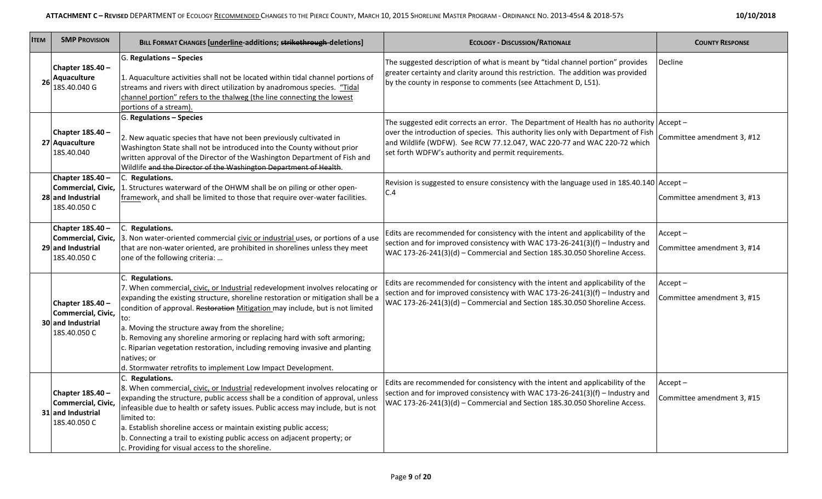| <b>ITEM</b> | <b>SMP PROVISION</b>                                                        | <b>BILL FORMAT CHANGES [underline-additions; strikethrough-deletions]</b>                                                                                                                                                                                                                                                                                                                                                                                                                                                                                                   | <b>ECOLOGY - DISCUSSION/RATIONALE</b>                                                                                                                                                                                                                                                                                | <b>COUNTY RESPONSE</b>                   |
|-------------|-----------------------------------------------------------------------------|-----------------------------------------------------------------------------------------------------------------------------------------------------------------------------------------------------------------------------------------------------------------------------------------------------------------------------------------------------------------------------------------------------------------------------------------------------------------------------------------------------------------------------------------------------------------------------|----------------------------------------------------------------------------------------------------------------------------------------------------------------------------------------------------------------------------------------------------------------------------------------------------------------------|------------------------------------------|
| 26          | Chapter 18S.40 -<br>Aquaculture<br>18S.40.040 G                             | G. Regulations - Species<br>1. Aquaculture activities shall not be located within tidal channel portions of<br>streams and rivers with direct utilization by anadromous species. "Tidal<br>channel portion" refers to the thalweg (the line connecting the lowest<br>portions of a stream).                                                                                                                                                                                                                                                                                 | The suggested description of what is meant by "tidal channel portion" provides<br>greater certainty and clarity around this restriction. The addition was provided<br>by the county in response to comments (see Attachment D, L51).                                                                                 | Decline                                  |
|             | Chapter 18S.40 -<br>27 Aquaculture<br>18S.40.040                            | G. Regulations - Species<br>2. New aquatic species that have not been previously cultivated in<br>Washington State shall not be introduced into the County without prior<br>written approval of the Director of the Washington Department of Fish and<br>Wildlife and the Director of the Washington Department of Health.                                                                                                                                                                                                                                                  | The suggested edit corrects an error. The Department of Health has no authority $ $ Accept –<br>over the introduction of species. This authority lies only with Department of Fish<br>and Wildlife (WDFW). See RCW 77.12.047, WAC 220-77 and WAC 220-72 which<br>set forth WDFW's authority and permit requirements. | Committee amendment 3, #12               |
|             | Chapter 18S.40 -<br>Commercial, Civic,<br>28 and Industrial<br>18S.40.050 C | C. Regulations.<br>1. Structures waterward of the OHWM shall be on piling or other open-<br>framework, and shall be limited to those that require over-water facilities.                                                                                                                                                                                                                                                                                                                                                                                                    | Revision is suggested to ensure consistency with the language used in 18S.40.140 Accept -<br>C.4                                                                                                                                                                                                                     | Committee amendment 3, #13               |
|             | Chapter 18S.40 -<br>29 and Industrial<br>18S.40.050 C                       | C. Regulations.<br>Commercial, Civic, 3. Non water-oriented commercial civic or industrial uses, or portions of a use<br>that are non-water oriented, are prohibited in shorelines unless they meet<br>one of the following criteria:                                                                                                                                                                                                                                                                                                                                       | Edits are recommended for consistency with the intent and applicability of the<br>section and for improved consistency with WAC 173-26-241(3)(f) – Industry and<br>WAC 173-26-241(3)(d) - Commercial and Section 18S.30.050 Shoreline Access.                                                                        | $Accept -$<br>Committee amendment 3, #14 |
|             | Chapter 18S.40 -<br>Commercial, Civic,<br>30 and Industrial<br>18S.40.050 C | C. Regulations.<br>7. When commercial, civic, or Industrial redevelopment involves relocating or<br>expanding the existing structure, shoreline restoration or mitigation shall be a<br>condition of approval. Restoration Mitigation may include, but is not limited<br>to:<br>a. Moving the structure away from the shoreline;<br>b. Removing any shoreline armoring or replacing hard with soft armoring;<br>c. Riparian vegetation restoration, including removing invasive and planting<br>natives; or<br>d. Stormwater retrofits to implement Low Impact Development. | Edits are recommended for consistency with the intent and applicability of the<br>section and for improved consistency with WAC 173-26-241(3)(f) – Industry and<br>WAC 173-26-241(3)(d) - Commercial and Section 18S.30.050 Shoreline Access.                                                                        | Accept-<br>Committee amendment 3, #15    |
|             | Chapter 18S.40 -<br>Commercial, Civic,<br>31 and Industrial<br>18S.40.050 C | C. Regulations.<br>8. When commercial, civic, or Industrial redevelopment involves relocating or<br>expanding the structure, public access shall be a condition of approval, unless<br>infeasible due to health or safety issues. Public access may include, but is not<br>limited to:<br>a. Establish shoreline access or maintain existing public access;<br>b. Connecting a trail to existing public access on adjacent property; or<br>c. Providing for visual access to the shoreline.                                                                                 | Edits are recommended for consistency with the intent and applicability of the<br>section and for improved consistency with WAC 173-26-241(3)(f) – Industry and<br>WAC 173-26-241(3)(d) - Commercial and Section 18S.30.050 Shoreline Access.                                                                        | $Accept -$<br>Committee amendment 3, #15 |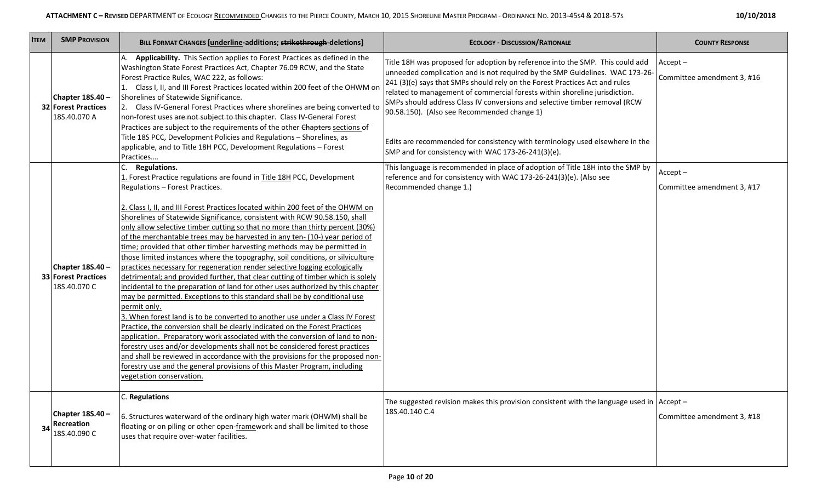| <b>ITEM</b> | <b>SMP PROVISION</b>                                           | BILL FORMAT CHANGES [underline-additions; strikethrough-deletions]                                                                                                                                                                                                                                                                                                                                                                                                                                                                                                                                                                                                                                                                                                                                                                                                                                                                                                                                                                                                                                                                                                                                                                                                                                                                                                                                                                                                                                                         | <b>ECOLOGY - DISCUSSION/RATIONALE</b>                                                                                                                                                                                                                                                                                                                                                                                                                                                                                                   | <b>COUNTY RESPONSE</b>                   |
|-------------|----------------------------------------------------------------|----------------------------------------------------------------------------------------------------------------------------------------------------------------------------------------------------------------------------------------------------------------------------------------------------------------------------------------------------------------------------------------------------------------------------------------------------------------------------------------------------------------------------------------------------------------------------------------------------------------------------------------------------------------------------------------------------------------------------------------------------------------------------------------------------------------------------------------------------------------------------------------------------------------------------------------------------------------------------------------------------------------------------------------------------------------------------------------------------------------------------------------------------------------------------------------------------------------------------------------------------------------------------------------------------------------------------------------------------------------------------------------------------------------------------------------------------------------------------------------------------------------------------|-----------------------------------------------------------------------------------------------------------------------------------------------------------------------------------------------------------------------------------------------------------------------------------------------------------------------------------------------------------------------------------------------------------------------------------------------------------------------------------------------------------------------------------------|------------------------------------------|
|             | Chapter 18S.40 -<br><b>32 Forest Practices</b><br>18S.40.070 A | Applicability. This Section applies to Forest Practices as defined in the<br>Washington State Forest Practices Act, Chapter 76.09 RCW, and the State<br>Forest Practice Rules, WAC 222, as follows:<br>1. Class I, II, and III Forest Practices located within 200 feet of the OHWM on<br>Shorelines of Statewide Significance.<br>2. Class IV-General Forest Practices where shorelines are being converted to<br>non-forest uses are not subject to this chapter. Class IV-General Forest<br>Practices are subject to the requirements of the other Chapters sections of<br>Title 18S PCC, Development Policies and Regulations - Shorelines, as<br>applicable, and to Title 18H PCC, Development Regulations - Forest                                                                                                                                                                                                                                                                                                                                                                                                                                                                                                                                                                                                                                                                                                                                                                                                   | Title 18H was proposed for adoption by reference into the SMP. This could add<br>unneeded complication and is not required by the SMP Guidelines. WAC 173-26-<br>241 (3)(e) says that SMPs should rely on the Forest Practices Act and rules<br>related to management of commercial forests within shoreline jurisdiction.<br>SMPs should address Class IV conversions and selective timber removal (RCW<br>90.58.150). (Also see Recommended change 1)<br>Edits are recommended for consistency with terminology used elsewhere in the | $Accept -$<br>Committee amendment 3, #16 |
|             | Chapter 18S.40 -<br><b>33 Forest Practices</b><br>18S.40.070 C | Practices<br>C.<br><b>Regulations.</b><br>1. Forest Practice regulations are found in Title 18H PCC, Development<br>Regulations - Forest Practices.<br>2. Class I, II, and III Forest Practices located within 200 feet of the OHWM on<br>Shorelines of Statewide Significance, consistent with RCW 90.58.150, shall<br>only allow selective timber cutting so that no more than thirty percent (30%)<br>of the merchantable trees may be harvested in any ten- (10-) year period of<br>time; provided that other timber harvesting methods may be permitted in<br>those limited instances where the topography, soil conditions, or silviculture<br>practices necessary for regeneration render selective logging ecologically<br>detrimental; and provided further, that clear cutting of timber which is solely<br>incidental to the preparation of land for other uses authorized by this chapter<br>may be permitted. Exceptions to this standard shall be by conditional use<br>permit only.<br>3. When forest land is to be converted to another use under a Class IV Forest<br>Practice, the conversion shall be clearly indicated on the Forest Practices<br>application. Preparatory work associated with the conversion of land to non-<br>forestry uses and/or developments shall not be considered forest practices<br>and shall be reviewed in accordance with the provisions for the proposed non-<br>forestry use and the general provisions of this Master Program, including<br>vegetation conservation. | SMP and for consistency with WAC 173-26-241(3)(e).<br>This language is recommended in place of adoption of Title 18H into the SMP by<br>reference and for consistency with WAC 173-26-241(3)(e). (Also see<br>Recommended change 1.)                                                                                                                                                                                                                                                                                                    | $Accept -$<br>Committee amendment 3, #17 |
| 34          | Chapter 18S.40 -<br>Recreation<br>18S.40.090 C                 | C. Regulations<br>6. Structures waterward of the ordinary high water mark (OHWM) shall be<br>floating or on piling or other open-framework and shall be limited to those<br>uses that require over-water facilities.                                                                                                                                                                                                                                                                                                                                                                                                                                                                                                                                                                                                                                                                                                                                                                                                                                                                                                                                                                                                                                                                                                                                                                                                                                                                                                       | The suggested revision makes this provision consistent with the language used in $ $ Accept –<br>18S.40.140 C.4                                                                                                                                                                                                                                                                                                                                                                                                                         | Committee amendment 3, #18               |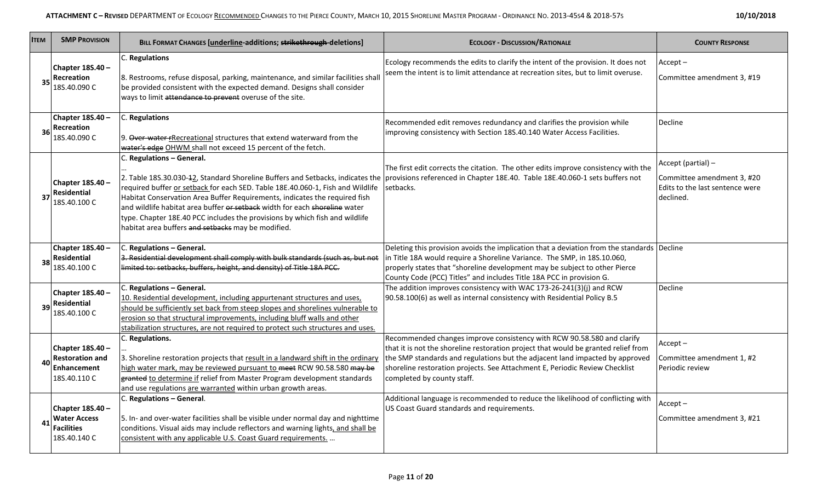| 10/10/2018 |  |
|------------|--|
|------------|--|

| <b>ITEM</b> | <b>SMP PROVISION</b>                                                             | BILL FORMAT CHANGES [underline-additions; strikethrough-deletions]                                                                                                                                                                                                                                                                                                                                                                                                                                                                                                          | <b>ECOLOGY - DISCUSSION/RATIONALE</b>                                                                                                                                                                                                                                                                                                                     | <b>COUNTY RESPONSE</b>                                                                           |
|-------------|----------------------------------------------------------------------------------|-----------------------------------------------------------------------------------------------------------------------------------------------------------------------------------------------------------------------------------------------------------------------------------------------------------------------------------------------------------------------------------------------------------------------------------------------------------------------------------------------------------------------------------------------------------------------------|-----------------------------------------------------------------------------------------------------------------------------------------------------------------------------------------------------------------------------------------------------------------------------------------------------------------------------------------------------------|--------------------------------------------------------------------------------------------------|
| 35          | Chapter 18S.40 -<br>Recreation<br>18S.40.090 C                                   | C. Regulations<br>8. Restrooms, refuse disposal, parking, maintenance, and similar facilities shall<br>be provided consistent with the expected demand. Designs shall consider<br>ways to limit attendance to prevent overuse of the site.                                                                                                                                                                                                                                                                                                                                  | Ecology recommends the edits to clarify the intent of the provision. It does not<br>seem the intent is to limit attendance at recreation sites, but to limit overuse.                                                                                                                                                                                     | $Accept -$<br>Committee amendment 3, #19                                                         |
| 36          | Chapter 18S.40 -<br>Recreation<br>18S.40.090 C                                   | C. Regulations<br>9. Over-water-rRecreational structures that extend waterward from the<br>water's edge OHWM shall not exceed 15 percent of the fetch.                                                                                                                                                                                                                                                                                                                                                                                                                      | Recommended edit removes redundancy and clarifies the provision while<br>improving consistency with Section 18S.40.140 Water Access Facilities.                                                                                                                                                                                                           | Decline                                                                                          |
|             | Chapter 18S.40 -<br>Residential<br>18S.40.100 C                                  | C. Regulations - General.<br>2. Table 18S.30.030-42, Standard Shoreline Buffers and Setbacks, indicates the provisions referenced in Chapter 18E.40. Table 18E.40.060-1 sets buffers not<br>required buffer or setback for each SED. Table 18E.40.060-1, Fish and Wildlife<br>Habitat Conservation Area Buffer Requirements, indicates the required fish<br>and wildlife habitat area buffer or setback width for each shoreline water<br>type. Chapter 18E.40 PCC includes the provisions by which fish and wildlife<br>habitat area buffers and setbacks may be modified. | The first edit corrects the citation. The other edits improve consistency with the<br>setbacks.                                                                                                                                                                                                                                                           | Accept (partial) -<br>Committee amendment 3, #20<br>Edits to the last sentence were<br>declined. |
| 38          | Chapter 18S.40 -<br>Residential<br>18S.40.100 C                                  | C. Regulations - General.<br>3. Residential development shall comply with bulk standards (such as, but not<br>limited to: setbacks, buffers, height, and density) of Title 18A PCC.                                                                                                                                                                                                                                                                                                                                                                                         | Deleting this provision avoids the implication that a deviation from the standards Decline<br>in Title 18A would require a Shoreline Variance. The SMP, in 18S.10.060,<br>properly states that "shoreline development may be subject to other Pierce<br>County Code (PCC) Titles" and includes Title 18A PCC in provision G.                              |                                                                                                  |
| 39          | Chapter 18S.40 -<br><b>Residential</b><br>18S.40.100 C                           | C. Regulations - General.<br>10. Residential development, including appurtenant structures and uses,<br>should be sufficiently set back from steep slopes and shorelines vulnerable to<br>erosion so that structural improvements, including bluff walls and other<br>stabilization structures, are not required to protect such structures and uses.                                                                                                                                                                                                                       | The addition improves consistency with WAC 173-26-241(3)(j) and RCW<br>90.58.100(6) as well as internal consistency with Residential Policy B.5                                                                                                                                                                                                           | Decline                                                                                          |
|             | Chapter 18S.40 -<br><b>Restoration and</b><br><b>Enhancement</b><br>18S.40.110 C | C. Regulations.<br>3. Shoreline restoration projects that result in a landward shift in the ordinary<br>high water mark, may be reviewed pursuant to meet RCW 90.58.580 may be<br>granted to determine if relief from Master Program development standards<br>and use regulations are warranted within urban growth areas.                                                                                                                                                                                                                                                  | Recommended changes improve consistency with RCW 90.58.580 and clarify<br>that it is not the shoreline restoration project that would be granted relief from<br>the SMP standards and regulations but the adjacent land impacted by approved<br>shoreline restoration projects. See Attachment E, Periodic Review Checklist<br>completed by county staff. | $Accept -$<br>Committee amendment 1, #2<br>Periodic review                                       |
| 41          | Chapter 18S.40 -<br><b>Water Access</b><br><b>Facilities</b><br>18S.40.140 C     | C. Regulations - General.<br>5. In- and over-water facilities shall be visible under normal day and nighttime<br>conditions. Visual aids may include reflectors and warning lights, and shall be<br>consistent with any applicable U.S. Coast Guard requirements.                                                                                                                                                                                                                                                                                                           | Additional language is recommended to reduce the likelihood of conflicting with<br>US Coast Guard standards and requirements.                                                                                                                                                                                                                             | $Accent -$<br>Committee amendment 3, #21                                                         |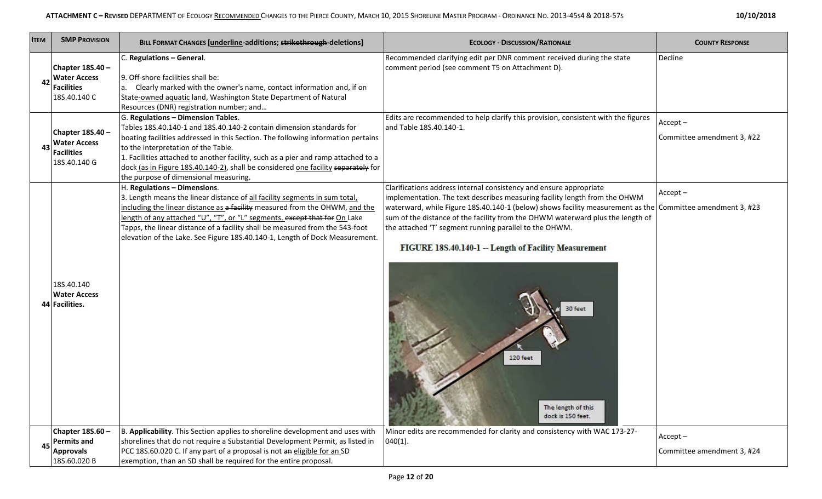| <b>ITEM</b> | <b>SMP PROVISION</b>                                                         | BILL FORMAT CHANGES [underline-additions; strikethrough-deletions]                                                                                                                                                                                                                                                                                                                                                                                       | <b>ECOLOGY - DISCUSSION/RATIONALE</b>                                                                                                                                                                                                                                                                                                                                                                                                                                                                                                | <b>COUNTY RESPONSE</b>                   |
|-------------|------------------------------------------------------------------------------|----------------------------------------------------------------------------------------------------------------------------------------------------------------------------------------------------------------------------------------------------------------------------------------------------------------------------------------------------------------------------------------------------------------------------------------------------------|--------------------------------------------------------------------------------------------------------------------------------------------------------------------------------------------------------------------------------------------------------------------------------------------------------------------------------------------------------------------------------------------------------------------------------------------------------------------------------------------------------------------------------------|------------------------------------------|
| 42          | Chapter 18S.40 -<br><b>Water Access</b><br><b>Facilities</b><br>18S.40.140 C | C. Regulations - General.<br>9. Off-shore facilities shall be:<br>a. Clearly marked with the owner's name, contact information and, if on<br>State-owned aquatic land, Washington State Department of Natural<br>Resources (DNR) registration number; and                                                                                                                                                                                                | Recommended clarifying edit per DNR comment received during the state<br>comment period (see comment T5 on Attachment D).                                                                                                                                                                                                                                                                                                                                                                                                            | Decline                                  |
| 43          | Chapter 18S.40 -<br><b>Water Access</b><br><b>Facilities</b><br>18S.40.140 G | G. Regulations - Dimension Tables.<br>Tables 18S.40.140-1 and 18S.40.140-2 contain dimension standards for<br>boating facilities addressed in this Section. The following information pertains<br>to the interpretation of the Table.<br>1. Facilities attached to another facility, such as a pier and ramp attached to a<br>dock (as in Figure 18S.40.140-2), shall be considered one facility separately for<br>the purpose of dimensional measuring. | Edits are recommended to help clarify this provision, consistent with the figures<br>and Table 18S.40.140-1.                                                                                                                                                                                                                                                                                                                                                                                                                         | $Accept -$<br>Committee amendment 3, #22 |
|             | 18S.40.140<br><b>Water Access</b><br>44 Facilities.                          | H. Regulations - Dimensions.<br>3. Length means the linear distance of all facility segments in sum total,<br>including the linear distance as a facility measured from the OHWM, and the<br>length of any attached "U", "T", or "L" segments. except that for On Lake<br>Tapps, the linear distance of a facility shall be measured from the 543-foot<br>elevation of the Lake. See Figure 18S.40.140-1, Length of Dock Measurement.                    | Clarifications address internal consistency and ensure appropriate<br>implementation. The text describes measuring facility length from the OHWM<br>waterward, while Figure 18S.40.140-1 (below) shows facility measurement as the Committee amendment 3, #23<br>sum of the distance of the facility from the OHWM waterward plus the length of<br>the attached 'T' segment running parallel to the OHWM.<br>FIGURE 18S.40.140-1 -- Length of Facility Measurement<br>30 feet<br>120 feet<br>The length of this<br>dock is 150 feet. | $Accept -$                               |
| 45          | Chapter 18S.60 -<br><b>Permits and</b><br><b>Approvals</b><br>18S.60.020 B   | B. Applicability. This Section applies to shoreline development and uses with<br>shorelines that do not require a Substantial Development Permit, as listed in<br>PCC 18S.60.020 C. If any part of a proposal is not an eligible for an SD<br>exemption, than an SD shall be required for the entire proposal.                                                                                                                                           | Minor edits are recommended for clarity and consistency with WAC 173-27-<br>$040(1)$ .                                                                                                                                                                                                                                                                                                                                                                                                                                               | $Accept -$<br>Committee amendment 3, #24 |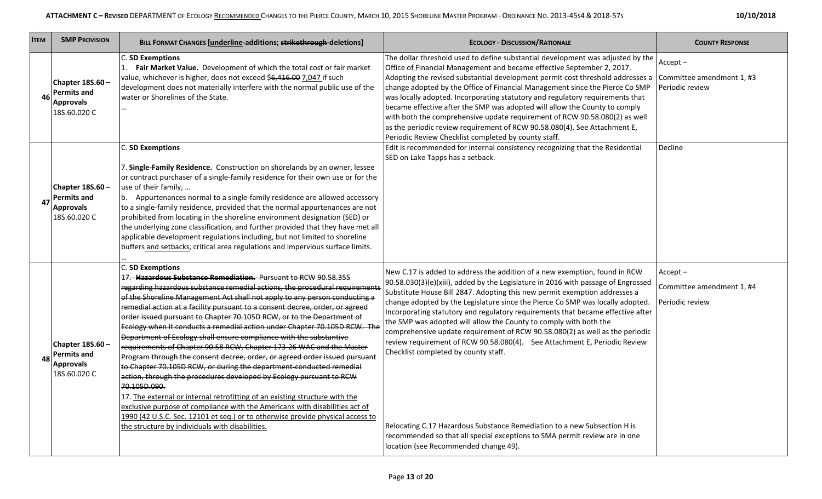| <b>ITEM</b> | <b>SMP PROVISION</b>                                                         | BILL FORMAT CHANGES [underline-additions; strikethrough-deletions]                                                                                                                                                                                                                                                                                                                                                                                                                                                                                                                                                                                                                                                                                                                                                                                                                                                                                                                                                                                                                                                                                                                       | <b>ECOLOGY - DISCUSSION/RATIONALE</b>                                                                                                                                                                                                                                                                                                                                                                                                                                                                                                                                                                                                                                                                                                                                                                                                                                                           | <b>COUNTY RESPONSE</b>                                     |
|-------------|------------------------------------------------------------------------------|------------------------------------------------------------------------------------------------------------------------------------------------------------------------------------------------------------------------------------------------------------------------------------------------------------------------------------------------------------------------------------------------------------------------------------------------------------------------------------------------------------------------------------------------------------------------------------------------------------------------------------------------------------------------------------------------------------------------------------------------------------------------------------------------------------------------------------------------------------------------------------------------------------------------------------------------------------------------------------------------------------------------------------------------------------------------------------------------------------------------------------------------------------------------------------------|-------------------------------------------------------------------------------------------------------------------------------------------------------------------------------------------------------------------------------------------------------------------------------------------------------------------------------------------------------------------------------------------------------------------------------------------------------------------------------------------------------------------------------------------------------------------------------------------------------------------------------------------------------------------------------------------------------------------------------------------------------------------------------------------------------------------------------------------------------------------------------------------------|------------------------------------------------------------|
|             | Chapter $18S.60 -$<br><b>Permits and</b><br><b>Approvals</b><br>18S.60.020 C | C. SD Exemptions<br>1. Fair Market Value. Development of which the total cost or fair market<br>value, whichever is higher, does not exceed \$6,416.00 7,047 if such<br>development does not materially interfere with the normal public use of the<br>water or Shorelines of the State.                                                                                                                                                                                                                                                                                                                                                                                                                                                                                                                                                                                                                                                                                                                                                                                                                                                                                                 | The dollar threshold used to define substantial development was adjusted by the<br>Office of Financial Management and became effective September 2, 2017.<br>Adopting the revised substantial development permit cost threshold addresses a Committee amendment 1, #3<br>change adopted by the Office of Financial Management since the Pierce Co SMP<br>was locally adopted. Incorporating statutory and regulatory requirements that<br>became effective after the SMP was adopted will allow the County to comply<br>with both the comprehensive update requirement of RCW 90.58.080(2) as well<br>as the periodic review requirement of RCW 90.58.080(4). See Attachment E,<br>Periodic Review Checklist completed by county staff.                                                                                                                                                         | $Accept -$<br>Periodic review                              |
| 47          | Chapter 18S.60 -<br><b>Permits and</b><br><b>Approvals</b><br>18S.60.020 C   | C. SD Exemptions<br>7. Single-Family Residence. Construction on shorelands by an owner, lessee<br>or contract purchaser of a single-family residence for their own use or for the<br>use of their family,<br>b. Appurtenances normal to a single-family residence are allowed accessory<br>to a single-family residence, provided that the normal appurtenances are not<br>prohibited from locating in the shoreline environment designation (SED) or<br>the underlying zone classification, and further provided that they have met all<br>applicable development regulations including, but not limited to shoreline<br>buffers and setbacks, critical area regulations and impervious surface limits.                                                                                                                                                                                                                                                                                                                                                                                                                                                                                 | Edit is recommended for internal consistency recognizing that the Residential<br>SED on Lake Tapps has a setback.                                                                                                                                                                                                                                                                                                                                                                                                                                                                                                                                                                                                                                                                                                                                                                               | Decline                                                    |
| 48          | Chapter 18S.60 -<br><b>Permits and</b><br><b>Approvals</b><br>18S.60.020 C   | <b>C. SD Exemptions</b><br>17. Hazardous Substance Remediation. Pursuant to RCW 90.58.355<br>regarding hazardous substance remedial actions, the procedural requirement<br>of the Shoreline Management Act shall not apply to any person conducting a<br>remedial action at a facility pursuant to a consent decree, order, or agreed<br>order issued pursuant to Chapter 70.105D RCW, or to the Department of<br>Ecology when it conducts a remedial action under Chapter 70.105D RCW. The<br>Department of Ecology shall ensure compliance with the substantive<br>requirements of Chapter 90.58 RCW, Chapter 173-26 WAC and the Master<br>Program through the consent decree, order, or agreed order issued pursuant<br>to Chapter 70.105D RCW, or during the department-conducted remedial<br>action, through the procedures developed by Ecology pursuant to RCW<br>70.105D.090.<br>17. The external or internal retrofitting of an existing structure with the<br>exclusive purpose of compliance with the Americans with disabilities act of<br>1990 (42 U.S.C. Sec. 12101 et seq.) or to otherwise provide physical access to<br>the structure by individuals with disabilities. | New C.17 is added to address the addition of a new exemption, found in RCW<br>90.58.030(3)(e)(xiii), added by the Legislature in 2016 with passage of Engrossed<br>Substitute House Bill 2847. Adopting this new permit exemption addresses a<br>change adopted by the Legislature since the Pierce Co SMP was locally adopted.<br>Incorporating statutory and regulatory requirements that became effective after<br>the SMP was adopted will allow the County to comply with both the<br>comprehensive update requirement of RCW 90.58.080(2) as well as the periodic<br>review requirement of RCW 90.58.080(4). See Attachment E, Periodic Review<br>Checklist completed by county staff.<br>Relocating C.17 Hazardous Substance Remediation to a new Subsection H is<br>recommended so that all special exceptions to SMA permit review are in one<br>location (see Recommended change 49). | $Accept -$<br>Committee amendment 1, #4<br>Periodic review |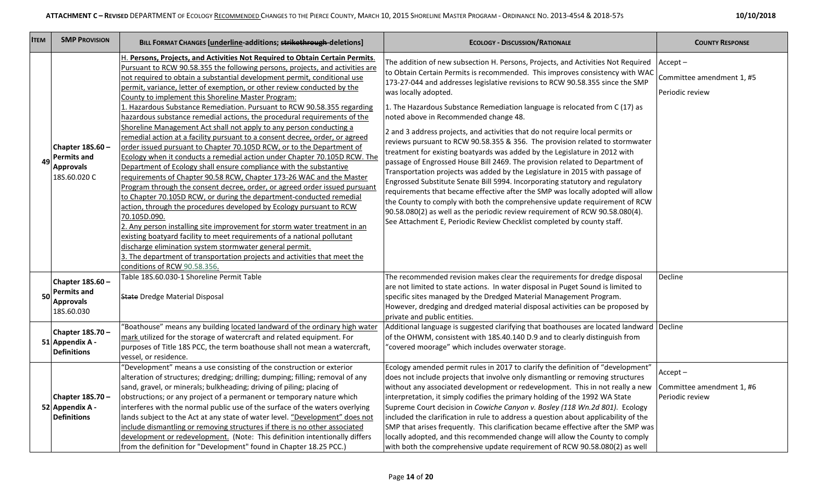| <b>SMP PROVISION</b><br><b>ITEM</b>                                                     | <b>BILL FORMAT CHANGES [underline-additions; strikethrough-deletions]</b>                                                                                                                                                                                                                                                                                                                                                                                                                                                                                                                                                                                                                                                                                                                                                                                                                                                                                                                                                                                                                                                                                                                                                                                                                                                                                                                                                                                                                                                                                                | <b>ECOLOGY - DISCUSSION/RATIONALE</b>                                                                                                                                                                                                                                                                                                                                                                                                                                                                                                                                                                                                                                                                                                                                                                                                                                                                                                                                                                                                                                                                                                                                                                                                  | <b>COUNTY RESPONSE</b>                                     |
|-----------------------------------------------------------------------------------------|--------------------------------------------------------------------------------------------------------------------------------------------------------------------------------------------------------------------------------------------------------------------------------------------------------------------------------------------------------------------------------------------------------------------------------------------------------------------------------------------------------------------------------------------------------------------------------------------------------------------------------------------------------------------------------------------------------------------------------------------------------------------------------------------------------------------------------------------------------------------------------------------------------------------------------------------------------------------------------------------------------------------------------------------------------------------------------------------------------------------------------------------------------------------------------------------------------------------------------------------------------------------------------------------------------------------------------------------------------------------------------------------------------------------------------------------------------------------------------------------------------------------------------------------------------------------------|----------------------------------------------------------------------------------------------------------------------------------------------------------------------------------------------------------------------------------------------------------------------------------------------------------------------------------------------------------------------------------------------------------------------------------------------------------------------------------------------------------------------------------------------------------------------------------------------------------------------------------------------------------------------------------------------------------------------------------------------------------------------------------------------------------------------------------------------------------------------------------------------------------------------------------------------------------------------------------------------------------------------------------------------------------------------------------------------------------------------------------------------------------------------------------------------------------------------------------------|------------------------------------------------------------|
| <b>Chapter 18S.60 -</b><br><b>Permits and</b><br>49<br><b>Approvals</b><br>18S.60.020 C | H. Persons, Projects, and Activities Not Required to Obtain Certain Permits.<br>Pursuant to RCW 90.58.355 the following persons, projects, and activities are<br>not required to obtain a substantial development permit, conditional use<br>permit, variance, letter of exemption, or other review conducted by the<br>County to implement this Shoreline Master Program:<br>1. Hazardous Substance Remediation. Pursuant to RCW 90.58.355 regarding<br>hazardous substance remedial actions, the procedural requirements of the<br>Shoreline Management Act shall not apply to any person conducting a<br>remedial action at a facility pursuant to a consent decree, order, or agreed<br>order issued pursuant to Chapter 70.105D RCW, or to the Department of<br>Ecology when it conducts a remedial action under Chapter 70.105D RCW. The<br>Department of Ecology shall ensure compliance with the substantive<br>requirements of Chapter 90.58 RCW, Chapter 173-26 WAC and the Master<br>Program through the consent decree, order, or agreed order issued pursuant<br>to Chapter 70.105D RCW, or during the department-conducted remedial<br>action, through the procedures developed by Ecology pursuant to RCW<br>70.105D.090.<br>2. Any person installing site improvement for storm water treatment in an<br>existing boatyard facility to meet requirements of a national pollutant<br>discharge elimination system stormwater general permit.<br>3. The department of transportation projects and activities that meet the<br>conditions of RCW 90.58.356. | The addition of new subsection H. Persons, Projects, and Activities Not Required  Accept –<br>to Obtain Certain Permits is recommended. This improves consistency with WAC<br>173-27-044 and addresses legislative revisions to RCW 90.58.355 since the SMP<br>was locally adopted.<br>1. The Hazardous Substance Remediation language is relocated from C (17) as<br>noted above in Recommended change 48.<br>2 and 3 address projects, and activities that do not require local permits or<br>reviews pursuant to RCW 90.58.355 & 356. The provision related to stormwater<br>treatment for existing boatyards was added by the Legislature in 2012 with<br>passage of Engrossed House Bill 2469. The provision related to Department of<br>Transportation projects was added by the Legislature in 2015 with passage of<br>Engrossed Substitute Senate Bill 5994. Incorporating statutory and regulatory<br>requirements that became effective after the SMP was locally adopted will allow<br>the County to comply with both the comprehensive update requirement of RCW<br>90.58.080(2) as well as the periodic review requirement of RCW 90.58.080(4).<br>See Attachment E, Periodic Review Checklist completed by county staff. | Committee amendment 1, #5<br>Periodic review               |
| <b>Chapter 18S.60 -</b><br><b>Permits and</b><br>50<br><b>Approvals</b><br>18S.60.030   | Table 18S.60.030-1 Shoreline Permit Table<br><b>State Dredge Material Disposal</b>                                                                                                                                                                                                                                                                                                                                                                                                                                                                                                                                                                                                                                                                                                                                                                                                                                                                                                                                                                                                                                                                                                                                                                                                                                                                                                                                                                                                                                                                                       | The recommended revision makes clear the requirements for dredge disposal<br>are not limited to state actions. In water disposal in Puget Sound is limited to<br>specific sites managed by the Dredged Material Management Program.<br>However, dredging and dredged material disposal activities can be proposed by<br>private and public entities.                                                                                                                                                                                                                                                                                                                                                                                                                                                                                                                                                                                                                                                                                                                                                                                                                                                                                   | Decline                                                    |
| Chapter 18S.70 -<br>51 Appendix A -<br><b>Definitions</b>                               | "Boathouse" means any building located landward of the ordinary high water<br>mark utilized for the storage of watercraft and related equipment. For<br>purposes of Title 18S PCC, the term boathouse shall not mean a watercraft,<br>vessel, or residence.                                                                                                                                                                                                                                                                                                                                                                                                                                                                                                                                                                                                                                                                                                                                                                                                                                                                                                                                                                                                                                                                                                                                                                                                                                                                                                              | Additional language is suggested clarifying that boathouses are located landward Decline<br>of the OHWM, consistent with 18S.40.140 D.9 and to clearly distinguish from<br>"covered moorage" which includes overwater storage.                                                                                                                                                                                                                                                                                                                                                                                                                                                                                                                                                                                                                                                                                                                                                                                                                                                                                                                                                                                                         |                                                            |
| <b>Chapter 18S.70 -</b><br>52 Appendix A -<br><b>Definitions</b>                        | "Development" means a use consisting of the construction or exterior<br>alteration of structures; dredging; drilling; dumping; filling; removal of any<br>sand, gravel, or minerals; bulkheading; driving of piling; placing of<br>obstructions; or any project of a permanent or temporary nature which<br>interferes with the normal public use of the surface of the waters overlying<br>lands subject to the Act at any state of water level. "Development" does not<br>include dismantling or removing structures if there is no other associated<br>development or redevelopment. (Note: This definition intentionally differs<br>from the definition for "Development" found in Chapter 18.25 PCC.)                                                                                                                                                                                                                                                                                                                                                                                                                                                                                                                                                                                                                                                                                                                                                                                                                                                               | Ecology amended permit rules in 2017 to clarify the definition of "development"<br>does not include projects that involve only dismantling or removing structures<br>without any associated development or redevelopment. This in not really a new<br>interpretation, it simply codifies the primary holding of the 1992 WA State<br>Supreme Court decision in Cowiche Canyon v. Bosley (118 Wn.2d 801). Ecology<br>included the clarification in rule to address a question about applicability of the<br>SMP that arises frequently. This clarification became effective after the SMP was<br>locally adopted, and this recommended change will allow the County to comply<br>with both the comprehensive update requirement of RCW 90.58.080(2) as well                                                                                                                                                                                                                                                                                                                                                                                                                                                                             | $Accept -$<br>Committee amendment 1, #6<br>Periodic review |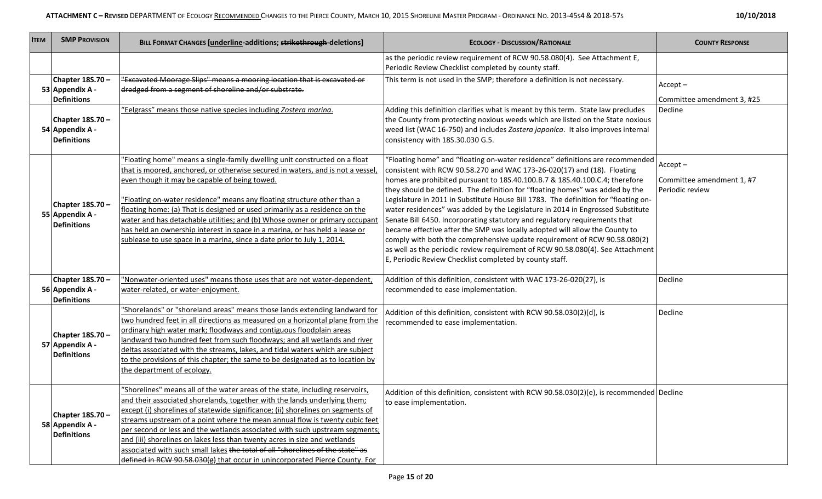| <b>ITEM</b> | <b>SMP PROVISION</b>                                      | BILL FORMAT CHANGES [underline-additions; strikethrough-deletions]                                                                                                                                                                                                                                                                                                                                                                                                                                                                                                                                                                                        | <b>ECOLOGY - DISCUSSION/RATIONALE</b>                                                                                                                                                                                                                                                                                                                                                                                                                                                                                                                                                                                                                                                                                                                                                                                                                                                   | <b>COUNTY RESPONSE</b>                                     |
|-------------|-----------------------------------------------------------|-----------------------------------------------------------------------------------------------------------------------------------------------------------------------------------------------------------------------------------------------------------------------------------------------------------------------------------------------------------------------------------------------------------------------------------------------------------------------------------------------------------------------------------------------------------------------------------------------------------------------------------------------------------|-----------------------------------------------------------------------------------------------------------------------------------------------------------------------------------------------------------------------------------------------------------------------------------------------------------------------------------------------------------------------------------------------------------------------------------------------------------------------------------------------------------------------------------------------------------------------------------------------------------------------------------------------------------------------------------------------------------------------------------------------------------------------------------------------------------------------------------------------------------------------------------------|------------------------------------------------------------|
|             |                                                           |                                                                                                                                                                                                                                                                                                                                                                                                                                                                                                                                                                                                                                                           | as the periodic review requirement of RCW 90.58.080(4). See Attachment E,<br>Periodic Review Checklist completed by county staff.                                                                                                                                                                                                                                                                                                                                                                                                                                                                                                                                                                                                                                                                                                                                                       |                                                            |
|             | Chapter 18S.70-<br>53 Appendix A -<br><b>Definitions</b>  | "Excavated Moorage Slips" means a mooring location that is excavated or<br>dredged from a segment of shoreline and/or substrate.                                                                                                                                                                                                                                                                                                                                                                                                                                                                                                                          | This term is not used in the SMP; therefore a definition is not necessary.                                                                                                                                                                                                                                                                                                                                                                                                                                                                                                                                                                                                                                                                                                                                                                                                              | $Accept -$<br>Committee amendment 3, #25                   |
|             | Chapter 18S.70-<br>54 Appendix A -<br><b>Definitions</b>  | "Eelgrass" means those native species including Zostera marina.                                                                                                                                                                                                                                                                                                                                                                                                                                                                                                                                                                                           | Adding this definition clarifies what is meant by this term. State law precludes<br>the County from protecting noxious weeds which are listed on the State noxious<br>weed list (WAC 16-750) and includes Zostera japonica. It also improves internal<br>consistency with 18S.30.030 G.5.                                                                                                                                                                                                                                                                                                                                                                                                                                                                                                                                                                                               | Decline                                                    |
|             | Chapter 18S.70 -<br>55 Appendix A -<br><b>Definitions</b> | "Floating home" means a single-family dwelling unit constructed on a float<br>that is moored, anchored, or otherwise secured in waters, and is not a vessel<br>even though it may be capable of being towed.<br>"Floating on-water residence" means any floating structure other than a<br>floating home: (a) That is designed or used primarily as a residence on the<br>water and has detachable utilities; and (b) Whose owner or primary occupant<br>has held an ownership interest in space in a marina, or has held a lease or<br>sublease to use space in a marina, since a date prior to July 1, 2014.                                            | 'Floating home" and "floating on-water residence" definitions are recommended<br>consistent with RCW 90.58.270 and WAC 173-26-020(17) and (18). Floating<br>homes are prohibited pursuant to 18S.40.100.B.7 & 18S.40.100.C.4; therefore<br>they should be defined. The definition for "floating homes" was added by the<br>Legislature in 2011 in Substitute House Bill 1783. The definition for "floating on-<br>water residences" was added by the Legislature in 2014 in Engrossed Substitute<br>Senate Bill 6450. Incorporating statutory and regulatory requirements that<br>became effective after the SMP was locally adopted will allow the County to<br>comply with both the comprehensive update requirement of RCW 90.58.080(2)<br>as well as the periodic review requirement of RCW 90.58.080(4). See Attachment<br>E, Periodic Review Checklist completed by county staff. | $Accept -$<br>Committee amendment 1, #7<br>Periodic review |
|             | Chapter 18S.70 -<br>56 Appendix A -<br><b>Definitions</b> | "Nonwater-oriented uses" means those uses that are not water-dependent,<br>water-related, or water-enjoyment.                                                                                                                                                                                                                                                                                                                                                                                                                                                                                                                                             | Addition of this definition, consistent with WAC 173-26-020(27), is<br>recommended to ease implementation.                                                                                                                                                                                                                                                                                                                                                                                                                                                                                                                                                                                                                                                                                                                                                                              | Decline                                                    |
|             | Chapter 18S.70-<br>57 Appendix A -<br><b>Definitions</b>  | "Shorelands" or "shoreland areas" means those lands extending landward for<br>two hundred feet in all directions as measured on a horizontal plane from the<br>ordinary high water mark; floodways and contiguous floodplain areas<br>landward two hundred feet from such floodways; and all wetlands and river<br>deltas associated with the streams, lakes, and tidal waters which are subject<br>to the provisions of this chapter; the same to be designated as to location by<br>the department of ecology.                                                                                                                                          | Addition of this definition, consistent with RCW 90.58.030(2)(d), is<br>recommended to ease implementation.                                                                                                                                                                                                                                                                                                                                                                                                                                                                                                                                                                                                                                                                                                                                                                             | Decline                                                    |
|             | Chapter 18S.70 -<br>58 Appendix A -<br><b>Definitions</b> | "Shorelines" means all of the water areas of the state, including reservoirs,<br>and their associated shorelands, together with the lands underlying them;<br>except (i) shorelines of statewide significance; (ii) shorelines on segments of<br>streams upstream of a point where the mean annual flow is twenty cubic feet<br>per second or less and the wetlands associated with such upstream segments;<br>and (iii) shorelines on lakes less than twenty acres in size and wetlands<br>associated with such small lakes the total of all "shorelines of the state" as<br>defined in RCW 90.58.030(g) that occur in unincorporated Pierce County. For | Addition of this definition, consistent with RCW 90.58.030(2)(e), is recommended Decline<br>to ease implementation.                                                                                                                                                                                                                                                                                                                                                                                                                                                                                                                                                                                                                                                                                                                                                                     |                                                            |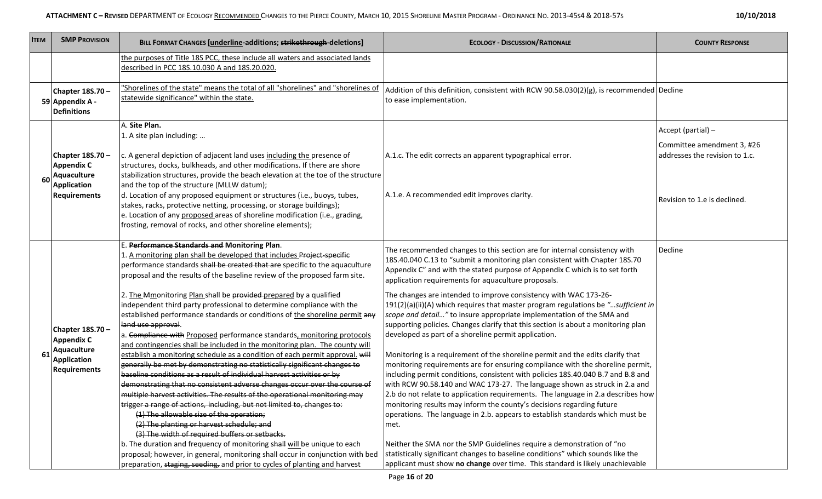| <b>ITEM</b> | <b>SMP PROVISION</b>                                                                              | BILL FORMAT CHANGES [underline-additions; strikethrough-deletions]                                                                                                                                                                                                                                                                                                                                                                                                                                                                                                                                                                                                                                                                                                                                                                                                                                                                                                                                                                                                                                                                                                                                                                                                                                                                                                                                                                                                                                                                                                  | <b>ECOLOGY - DISCUSSION/RATIONALE</b>                                                                                                                                                                                                                                                                                                                                                                                                                                                                                                                                                                                                                                                                                                                                                                                                                                                                                                                                                                                                                                                                                                                                                                                                                                                                                                                                                                                                                                                                                  | <b>COUNTY RESPONSE</b>                                                                                             |
|-------------|---------------------------------------------------------------------------------------------------|---------------------------------------------------------------------------------------------------------------------------------------------------------------------------------------------------------------------------------------------------------------------------------------------------------------------------------------------------------------------------------------------------------------------------------------------------------------------------------------------------------------------------------------------------------------------------------------------------------------------------------------------------------------------------------------------------------------------------------------------------------------------------------------------------------------------------------------------------------------------------------------------------------------------------------------------------------------------------------------------------------------------------------------------------------------------------------------------------------------------------------------------------------------------------------------------------------------------------------------------------------------------------------------------------------------------------------------------------------------------------------------------------------------------------------------------------------------------------------------------------------------------------------------------------------------------|------------------------------------------------------------------------------------------------------------------------------------------------------------------------------------------------------------------------------------------------------------------------------------------------------------------------------------------------------------------------------------------------------------------------------------------------------------------------------------------------------------------------------------------------------------------------------------------------------------------------------------------------------------------------------------------------------------------------------------------------------------------------------------------------------------------------------------------------------------------------------------------------------------------------------------------------------------------------------------------------------------------------------------------------------------------------------------------------------------------------------------------------------------------------------------------------------------------------------------------------------------------------------------------------------------------------------------------------------------------------------------------------------------------------------------------------------------------------------------------------------------------------|--------------------------------------------------------------------------------------------------------------------|
|             |                                                                                                   | the purposes of Title 18S PCC, these include all waters and associated lands<br>described in PCC 18S.10.030 A and 18S.20.020.                                                                                                                                                                                                                                                                                                                                                                                                                                                                                                                                                                                                                                                                                                                                                                                                                                                                                                                                                                                                                                                                                                                                                                                                                                                                                                                                                                                                                                       |                                                                                                                                                                                                                                                                                                                                                                                                                                                                                                                                                                                                                                                                                                                                                                                                                                                                                                                                                                                                                                                                                                                                                                                                                                                                                                                                                                                                                                                                                                                        |                                                                                                                    |
|             | Chapter 18S.70-<br>59 Appendix A -<br><b>Definitions</b>                                          | 'Shorelines of the state" means the total of all "shorelines" and "shorelines of<br>statewide significance" within the state.                                                                                                                                                                                                                                                                                                                                                                                                                                                                                                                                                                                                                                                                                                                                                                                                                                                                                                                                                                                                                                                                                                                                                                                                                                                                                                                                                                                                                                       | Addition of this definition, consistent with RCW 90.58.030(2)(g), is recommended Decline<br>to ease implementation.                                                                                                                                                                                                                                                                                                                                                                                                                                                                                                                                                                                                                                                                                                                                                                                                                                                                                                                                                                                                                                                                                                                                                                                                                                                                                                                                                                                                    |                                                                                                                    |
| 60          | Chapter 18S.70 -<br><b>Appendix C</b><br>Aquaculture<br><b>Application</b><br><b>Requirements</b> | A. Site Plan.<br>1. A site plan including:<br>c. A general depiction of adjacent land uses including the presence of<br>structures, docks, bulkheads, and other modifications. If there are shore<br>stabilization structures, provide the beach elevation at the toe of the structure<br>and the top of the structure (MLLW datum);<br>d. Location of any proposed equipment or structures (i.e., buoys, tubes,<br>stakes, racks, protective netting, processing, or storage buildings);<br>e. Location of any proposed areas of shoreline modification (i.e., grading,<br>frosting, removal of rocks, and other shoreline elements);                                                                                                                                                                                                                                                                                                                                                                                                                                                                                                                                                                                                                                                                                                                                                                                                                                                                                                                              | A.1.c. The edit corrects an apparent typographical error.<br>A.1.e. A recommended edit improves clarity.                                                                                                                                                                                                                                                                                                                                                                                                                                                                                                                                                                                                                                                                                                                                                                                                                                                                                                                                                                                                                                                                                                                                                                                                                                                                                                                                                                                                               | Accept (partial) -<br>Committee amendment 3, #26<br>addresses the revision to 1.c.<br>Revision to 1.e is declined. |
| 61          | Chapter 18S.70-<br><b>Appendix C</b><br>Aquaculture<br><b>Application</b><br><b>Requirements</b>  | E. Performance Standards and Monitoring Plan.<br>1. A monitoring plan shall be developed that includes Project-specific<br>performance standards shall be created that are specific to the aquaculture<br>proposal and the results of the baseline review of the proposed farm site.<br>2. The Mmonitoring Plan shall be provided prepared by a qualified<br>independent third party professional to determine compliance with the<br>established performance standards or conditions of the shoreline permit any<br>land use approval.<br>a. Compliance with Proposed performance standards, monitoring protocols<br>and contingencies shall be included in the monitoring plan. The county will<br>establish a monitoring schedule as a condition of each permit approval. will<br>generally be met by demonstrating no statistically significant changes to<br>baseline conditions as a result of individual harvest activities or by<br>demonstrating that no consistent adverse changes occur over the course of<br>multiple harvest activities. The results of the operational monitoring may<br>trigger a range of actions, including, but not limited to, changes to:<br>(1) The allowable size of the operation;<br>(2) The planting or harvest schedule; and<br>(3) The width of required buffers or setbacks.<br>b. The duration and frequency of monitoring shall will be unique to each<br>proposal; however, in general, monitoring shall occur in conjunction with bed<br>preparation, staging, seeding, and prior to cycles of planting and harvest | The recommended changes to this section are for internal consistency with<br>18S.40.040 C.13 to "submit a monitoring plan consistent with Chapter 18S.70<br>Appendix C" and with the stated purpose of Appendix C which is to set forth<br>application requirements for aquaculture proposals.<br>The changes are intended to improve consistency with WAC 173-26-<br>191(2)(a)(ii)(A) which requires that master program regulations be "sufficient in<br>scope and detail" to insure appropriate implementation of the SMA and<br>supporting policies. Changes clarify that this section is about a monitoring plan<br>developed as part of a shoreline permit application.<br>Monitoring is a requirement of the shoreline permit and the edits clarify that<br>monitoring requirements are for ensuring compliance with the shoreline permit,<br>including permit conditions, consistent with policies 18S.40.040 B.7 and B.8 and<br>with RCW 90.58.140 and WAC 173-27. The language shown as struck in 2.a and<br>2.b do not relate to application requirements. The language in 2.a describes how<br>monitoring results may inform the county's decisions regarding future<br>operations. The language in 2.b. appears to establish standards which must be<br>met.<br>Neither the SMA nor the SMP Guidelines require a demonstration of "no<br>statistically significant changes to baseline conditions" which sounds like the<br>applicant must show no change over time. This standard is likely unachievable | Decline                                                                                                            |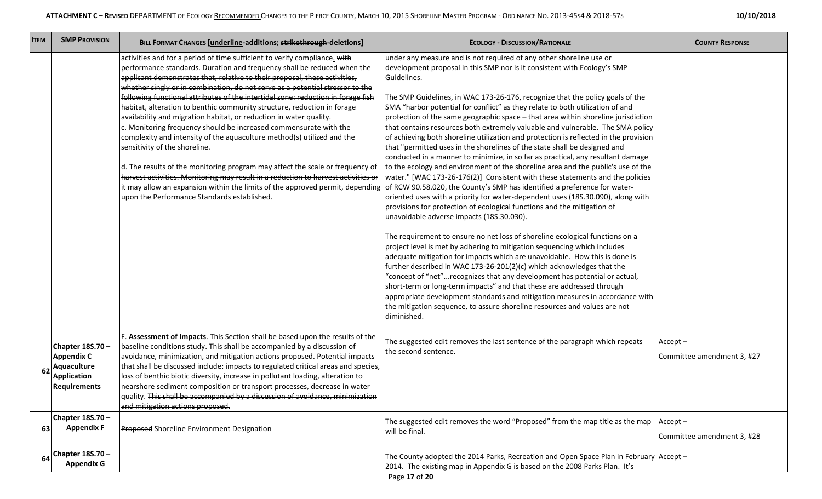|  | 10/10/2018 |
|--|------------|
|--|------------|

| <b>ITEM</b> | <b>SMP PROVISION</b>                                                                              | BILL FORMAT CHANGES [underline-additions; strikethrough-deletions]                                                                                                                                                                                                                                                                                                                                                                                                                                                                                                                                                                                                                                                                                                                                                                                                                                                                                                                                                                                                                                                       | <b>ECOLOGY - DISCUSSION/RATIONALE</b>                                                                                                                                                                                                                                                                                                                                                                                                                                                                                                                                                                                                                                                                                                                                                                                                                                                                                                                                                                                                                                                                                                                                                                                                                                                                                                                                                                                                                                                                                                                                                                                                                                                                                                                                                                | <b>COUNTY RESPONSE</b>                   |
|-------------|---------------------------------------------------------------------------------------------------|--------------------------------------------------------------------------------------------------------------------------------------------------------------------------------------------------------------------------------------------------------------------------------------------------------------------------------------------------------------------------------------------------------------------------------------------------------------------------------------------------------------------------------------------------------------------------------------------------------------------------------------------------------------------------------------------------------------------------------------------------------------------------------------------------------------------------------------------------------------------------------------------------------------------------------------------------------------------------------------------------------------------------------------------------------------------------------------------------------------------------|------------------------------------------------------------------------------------------------------------------------------------------------------------------------------------------------------------------------------------------------------------------------------------------------------------------------------------------------------------------------------------------------------------------------------------------------------------------------------------------------------------------------------------------------------------------------------------------------------------------------------------------------------------------------------------------------------------------------------------------------------------------------------------------------------------------------------------------------------------------------------------------------------------------------------------------------------------------------------------------------------------------------------------------------------------------------------------------------------------------------------------------------------------------------------------------------------------------------------------------------------------------------------------------------------------------------------------------------------------------------------------------------------------------------------------------------------------------------------------------------------------------------------------------------------------------------------------------------------------------------------------------------------------------------------------------------------------------------------------------------------------------------------------------------------|------------------------------------------|
|             |                                                                                                   | activities and for a period of time sufficient to verify compliance. with<br>performance standards. Duration and frequency shall be reduced when the<br>applicant demonstrates that, relative to their proposal, these activities,<br>whether singly or in combination, do not serve as a potential stressor to the<br>following functional attributes of the intertidal zone: reduction in forage fish<br>habitat, alteration to benthic community structure, reduction in forage<br>availability and migration habitat, or reduction in water quality.<br>c. Monitoring frequency should be increased commensurate with the<br>complexity and intensity of the aquaculture method(s) utilized and the<br>sensitivity of the shoreline.<br>d. The results of the monitoring program may affect the scale or frequency of<br>harvest activities. Monitoring may result in a reduction to harvest activities or<br>it may allow an expansion within the limits of the approved permit, depending of RCW 90.58.020, the County's SMP has identified a preference for water-<br>upon the Performance Standards established. | under any measure and is not required of any other shoreline use or<br>development proposal in this SMP nor is it consistent with Ecology's SMP<br>Guidelines.<br>The SMP Guidelines, in WAC 173-26-176, recognize that the policy goals of the<br>SMA "harbor potential for conflict" as they relate to both utilization of and<br>protection of the same geographic space - that area within shoreline jurisdiction<br>that contains resources both extremely valuable and vulnerable. The SMA policy<br>of achieving both shoreline utilization and protection is reflected in the provision<br>that "permitted uses in the shorelines of the state shall be designed and<br>conducted in a manner to minimize, in so far as practical, any resultant damage<br>to the ecology and environment of the shoreline area and the public's use of the<br>water." [WAC 173-26-176(2)] Consistent with these statements and the policies<br>oriented uses with a priority for water-dependent uses (18S.30.090), along with<br>provisions for protection of ecological functions and the mitigation of<br>unavoidable adverse impacts (18S.30.030).<br>The requirement to ensure no net loss of shoreline ecological functions on a<br>project level is met by adhering to mitigation sequencing which includes<br>adequate mitigation for impacts which are unavoidable. How this is done is<br>further described in WAC 173-26-201(2)(c) which acknowledges that the<br>"concept of "net"recognizes that any development has potential or actual,<br>short-term or long-term impacts" and that these are addressed through<br>appropriate development standards and mitigation measures in accordance with<br>the mitigation sequence, to assure shoreline resources and values are not<br>diminished. |                                          |
| 62          | Chapter 18S.70 -<br><b>Appendix C</b><br>Aquaculture<br><b>Application</b><br><b>Requirements</b> | F. Assessment of Impacts. This Section shall be based upon the results of the<br>baseline conditions study. This shall be accompanied by a discussion of<br>avoidance, minimization, and mitigation actions proposed. Potential impacts<br>that shall be discussed include: impacts to regulated critical areas and species,<br>loss of benthic biotic diversity, increase in pollutant loading, alteration to<br>nearshore sediment composition or transport processes, decrease in water<br>quality. This shall be accompanied by a discussion of avoidance, minimization<br>and mitigation actions proposed.                                                                                                                                                                                                                                                                                                                                                                                                                                                                                                          | The suggested edit removes the last sentence of the paragraph which repeats<br>the second sentence.                                                                                                                                                                                                                                                                                                                                                                                                                                                                                                                                                                                                                                                                                                                                                                                                                                                                                                                                                                                                                                                                                                                                                                                                                                                                                                                                                                                                                                                                                                                                                                                                                                                                                                  | $Accept -$<br>Committee amendment 3, #27 |
| 63          | Chapter 18S.70 -<br><b>Appendix F</b>                                                             | <b>Proposed Shoreline Environment Designation</b>                                                                                                                                                                                                                                                                                                                                                                                                                                                                                                                                                                                                                                                                                                                                                                                                                                                                                                                                                                                                                                                                        | The suggested edit removes the word "Proposed" from the map title as the map $ $ Accept –<br>will be final.                                                                                                                                                                                                                                                                                                                                                                                                                                                                                                                                                                                                                                                                                                                                                                                                                                                                                                                                                                                                                                                                                                                                                                                                                                                                                                                                                                                                                                                                                                                                                                                                                                                                                          | Committee amendment 3, #28               |
| 64          | Chapter 18S.70 -<br><b>Appendix G</b>                                                             |                                                                                                                                                                                                                                                                                                                                                                                                                                                                                                                                                                                                                                                                                                                                                                                                                                                                                                                                                                                                                                                                                                                          | The County adopted the 2014 Parks, Recreation and Open Space Plan in February Accept -<br>2014. The existing map in Appendix G is based on the 2008 Parks Plan. It's                                                                                                                                                                                                                                                                                                                                                                                                                                                                                                                                                                                                                                                                                                                                                                                                                                                                                                                                                                                                                                                                                                                                                                                                                                                                                                                                                                                                                                                                                                                                                                                                                                 |                                          |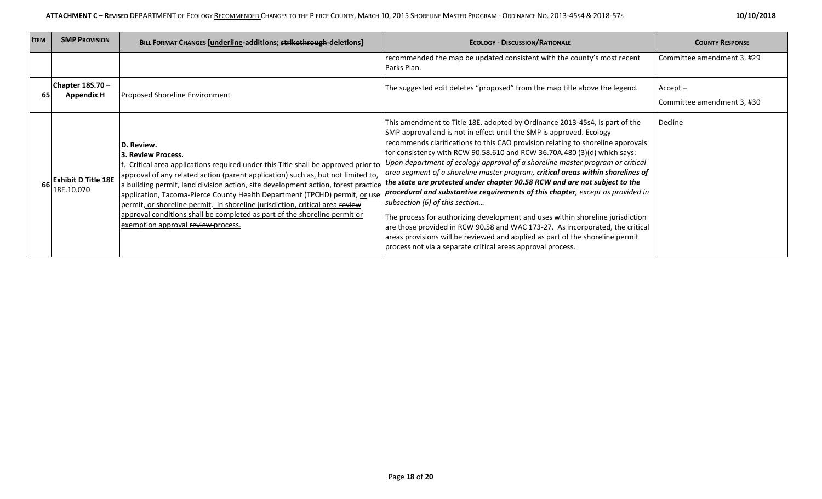| <b>ITEM</b> | <b>SMP PROVISION</b>                     | BILL FORMAT CHANGES [underline-additions; strikethrough-deletions]                                                                                                                                                                                                                                                                                                                                                                                                                                                                                                                    | <b>ECOLOGY - DISCUSSION/RATIONALE</b>                                                                                                                                                                                                                                                                                                                                                                                                                                                                                                                                                                                                                                                                                                                                                                                                                                                                                                                                                                                 | <b>COUNTY RESPONSE</b>                   |
|-------------|------------------------------------------|---------------------------------------------------------------------------------------------------------------------------------------------------------------------------------------------------------------------------------------------------------------------------------------------------------------------------------------------------------------------------------------------------------------------------------------------------------------------------------------------------------------------------------------------------------------------------------------|-----------------------------------------------------------------------------------------------------------------------------------------------------------------------------------------------------------------------------------------------------------------------------------------------------------------------------------------------------------------------------------------------------------------------------------------------------------------------------------------------------------------------------------------------------------------------------------------------------------------------------------------------------------------------------------------------------------------------------------------------------------------------------------------------------------------------------------------------------------------------------------------------------------------------------------------------------------------------------------------------------------------------|------------------------------------------|
|             |                                          |                                                                                                                                                                                                                                                                                                                                                                                                                                                                                                                                                                                       | recommended the map be updated consistent with the county's most recent<br>Parks Plan.                                                                                                                                                                                                                                                                                                                                                                                                                                                                                                                                                                                                                                                                                                                                                                                                                                                                                                                                | Committee amendment 3, #29               |
| 65          | Chapter 18S.70 -<br><b>Appendix H</b>    | <b>Proposed Shoreline Environment</b>                                                                                                                                                                                                                                                                                                                                                                                                                                                                                                                                                 | The suggested edit deletes "proposed" from the map title above the legend.                                                                                                                                                                                                                                                                                                                                                                                                                                                                                                                                                                                                                                                                                                                                                                                                                                                                                                                                            | $Accept -$<br>Committee amendment 3, #30 |
|             | <b>Exhibit D Title 18E</b><br>18E.10.070 | D. Review.<br>3. Review Process.<br>f. Critical area applications required under this Title shall be approved prior to<br>a building permit, land division action, site development action, forest practice <i>the state are protected under chapter 90.58 RCW and are not subject to the</i><br>application, Tacoma-Pierce County Health Department (TPCHD) permit, <b>ox</b> use<br>permit, or shoreline permit. In shoreline jurisdiction, critical area review<br>approval conditions shall be completed as part of the shoreline permit or<br>exemption approval review process. | This amendment to Title 18E, adopted by Ordinance 2013-45s4, is part of the<br>SMP approval and is not in effect until the SMP is approved. Ecology<br>recommends clarifications to this CAO provision relating to shoreline approvals<br>for consistency with RCW 90.58.610 and RCW 36.70A.480 (3)(d) which says:<br>Upon department of ecology approval of a shoreline master program or critical<br>approval of any related action (parent application) such as, but not limited to, <i>area segment of a shoreline master program, critical areas within shorelines of</i><br>procedural and substantive requirements of this chapter, except as provided in<br>subsection (6) of this section<br>The process for authorizing development and uses within shoreline jurisdiction<br>are those provided in RCW 90.58 and WAC 173-27. As incorporated, the critical<br>areas provisions will be reviewed and applied as part of the shoreline permit<br>process not via a separate critical areas approval process. | Decline                                  |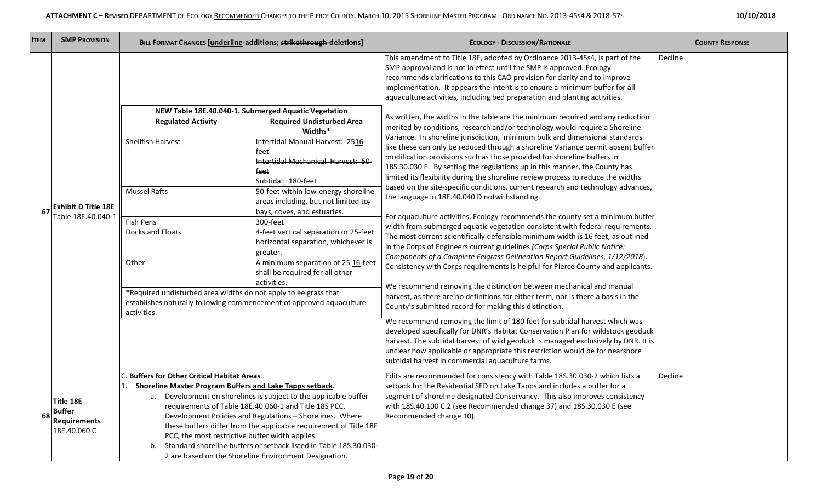| <b>ITEM</b> | <b>SMP PROVISION</b>                                              |                                                                                                                                                                                                                                                                           | BILL FORMAT CHANGES [underline-additions; strikethrough-deletions]                                                                                                                                                                                                                                                                                                                                                                                                                                                                | <b>ECOLOGY - DISCUSSION/RATIONALE</b>                                                                                                                                                                                                                                                                                                                                                                                                                                                                                                                                                                                                                                                                                                                                                                                                                                                                                                                                                                                                                                                                                                                                                                                                                                                                                                                                                                                                                                                                                                                                                                                                                                                                                                                                                                                                                                                                                                                                                                                                                                                                                                                                                                                                             | <b>COUNTY RESPONSE</b> |
|-------------|-------------------------------------------------------------------|---------------------------------------------------------------------------------------------------------------------------------------------------------------------------------------------------------------------------------------------------------------------------|-----------------------------------------------------------------------------------------------------------------------------------------------------------------------------------------------------------------------------------------------------------------------------------------------------------------------------------------------------------------------------------------------------------------------------------------------------------------------------------------------------------------------------------|---------------------------------------------------------------------------------------------------------------------------------------------------------------------------------------------------------------------------------------------------------------------------------------------------------------------------------------------------------------------------------------------------------------------------------------------------------------------------------------------------------------------------------------------------------------------------------------------------------------------------------------------------------------------------------------------------------------------------------------------------------------------------------------------------------------------------------------------------------------------------------------------------------------------------------------------------------------------------------------------------------------------------------------------------------------------------------------------------------------------------------------------------------------------------------------------------------------------------------------------------------------------------------------------------------------------------------------------------------------------------------------------------------------------------------------------------------------------------------------------------------------------------------------------------------------------------------------------------------------------------------------------------------------------------------------------------------------------------------------------------------------------------------------------------------------------------------------------------------------------------------------------------------------------------------------------------------------------------------------------------------------------------------------------------------------------------------------------------------------------------------------------------------------------------------------------------------------------------------------------------|------------------------|
|             | <b>Exhibit D Title 18E</b><br>Table 18E.40.040-1                  | <b>Regulated Activity</b><br>Shellfish Harvest<br><b>Mussel Rafts</b><br>Fish Pens<br>Docks and Floats<br>Other<br>*Required undisturbed area widths do not apply to eelgrass that<br>establishes naturally following commencement of approved aquaculture<br>activities. | NEW Table 18E.40.040-1. Submerged Aquatic Vegetation<br><b>Required Undisturbed Area</b><br>Widths*<br>Intertidal Manual Harvest: 2516-<br>feet<br>Intertidal Mechanical Harvest: 50-<br>feet<br>Subtidal: 180-feet<br>50-feet within low-energy shoreline<br>areas including, but not limited to,<br>bays, coves, and estuaries.<br>300-feet<br>4-feet vertical separation or 25-feet<br>horizontal separation, whichever is<br>greater.<br>A minimum separation of 25 16-feet<br>shall be required for all other<br>activities. | This amendment to Title 18E, adopted by Ordinance 2013-45s4, is part of the<br>SMP approval and is not in effect until the SMP is approved. Ecology<br>recommends clarifications to this CAO provision for clarity and to improve<br>implementation. It appears the intent is to ensure a minimum buffer for all<br>aquaculture activities, including bed preparation and planting activities.<br>As written, the widths in the table are the minimum required and any reduction<br>merited by conditions, research and/or technology would require a Shoreline<br>Variance. In shoreline jurisdiction, minimum bulk and dimensional standards<br>like these can only be reduced through a shoreline Variance permit absent buffer<br>modification provisions such as those provided for shoreline buffers in<br>18S.30.030 E. By setting the regulations up in this manner, the County has<br>limited its flexibility during the shoreline review process to reduce the widths<br>based on the site-specific conditions, current research and technology advances,<br>the language in 18E.40.040 D notwithstanding.<br>For aquaculture activities, Ecology recommends the county set a minimum buffer<br>width from submerged aquatic vegetation consistent with federal requirements.<br>The most current scientifically defensible minimum width is 16 feet, as outlined<br>in the Corps of Engineers current guidelines (Corps Special Public Notice:<br>Components of a Complete Eelgrass Delineation Report Guidelines, 1/12/2018).<br>Consistency with Corps requirements is helpful for Pierce County and applicants.<br>We recommend removing the distinction between mechanical and manual<br>harvest, as there are no definitions for either term, nor is there a basis in the<br>County's submitted record for making this distinction.<br>We recommend removing the limit of 180 feet for subtidal harvest which was<br>developed specifically for DNR's Habitat Conservation Plan for wildstock geoduck<br>harvest. The subtidal harvest of wild geoduck is managed exclusively by DNR. It is<br>unclear how applicable or appropriate this restriction would be for nearshore<br>subtidal harvest in commercial aquaculture farms. | Decline                |
| 68          | Title 18E<br><b>Buffer</b><br><b>Requirements</b><br>18E.40.060 C | C. Buffers for Other Critical Habitat Areas<br>Shoreline Master Program Buffers and Lake Tapps setback.<br>PCC, the most restrictive buffer width applies.<br>b.                                                                                                          | Development on shorelines is subject to the applicable buffer<br>requirements of Table 18E.40.060-1 and Title 18S PCC,<br>Development Policies and Regulations - Shorelines. Where<br>these buffers differ from the applicable requirement of Title 18E<br>Standard shoreline buffers or setback listed in Table 18S.30.030-<br>2 are based on the Shoreline Environment Designation.                                                                                                                                             | Edits are recommended for consistency with Table 18S.30.030-2 which lists a<br>setback for the Residential SED on Lake Tapps and includes a buffer for a<br>segment of shoreline designated Conservancy. This also improves consistency<br>with 18S.40.100 C.2 (see Recommended change 37) and 18S.30.030 E (see<br>Recommended change 10).                                                                                                                                                                                                                                                                                                                                                                                                                                                                                                                                                                                                                                                                                                                                                                                                                                                                                                                                                                                                                                                                                                                                                                                                                                                                                                                                                                                                                                                                                                                                                                                                                                                                                                                                                                                                                                                                                                       | Decline                |